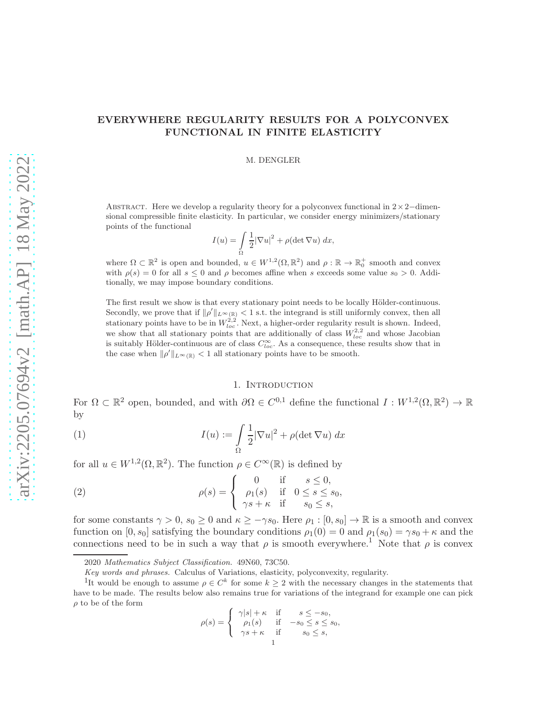# EVERYWHERE REGULARITY RESULTS FOR A POLYCONVEX FUNCTIONAL IN FINITE ELASTICITY

#### M. DENGLER

ABSTRACT. Here we develop a regularity theory for a polyconvex functional in  $2\times2$ −dimensional compressible finite elasticity. In particular, we consider energy minimizers/stationary points of the functional

$$
I(u) = \int_{\Omega} \frac{1}{2} |\nabla u|^2 + \rho (\det \nabla u) \, dx,
$$

where  $\Omega \subset \mathbb{R}^2$  is open and bounded,  $u \in W^{1,2}(\Omega, \mathbb{R}^2)$  and  $\rho : \mathbb{R} \to \mathbb{R}_0^+$  smooth and convex with  $\rho(s) = 0$  for all  $s \leq 0$  and  $\rho$  becomes affine when s exceeds some value  $s_0 > 0$ . Additionally, we may impose boundary conditions.

The first result we show is that every stationary point needs to be locally Hölder-continuous. Secondly, we prove that if  $\|\rho'\|_{L^{\infty}(\mathbb{R})} < 1$  s.t. the integrand is still uniformly convex, then all stationary points have to be in  $W_{loc}^{2,2}$ . Next, a higher-order regularity result is shown. Indeed, we show that all stationary points that are additionally of class  $W_{loc}^{2,2}$  and whose Jacobian is suitably Hölder-continuous are of class  $C^{\infty}_{loc}$ . As a consequence, these results show that in the case when  $\|\rho'\|_{L^{\infty}(\mathbb{R})} < 1$  all stationary points have to be smooth.

#### 1. INTRODUCTION

For  $\Omega \subset \mathbb{R}^2$  open, bounded, and with  $\partial \Omega \in C^{0,1}$  define the functional  $I: W^{1,2}(\Omega, \mathbb{R}^2) \to \mathbb{R}$ by

(1) 
$$
I(u) := \int_{\Omega} \frac{1}{2} |\nabla u|^2 + \rho (\det \nabla u) dx
$$

for all  $u \in W^{1,2}(\Omega,\mathbb{R}^2)$ . The function  $\rho \in C^{\infty}(\mathbb{R})$  is defined by

(2) 
$$
\rho(s) = \begin{cases} 0 & \text{if } s \leq 0, \\ \rho_1(s) & \text{if } 0 \leq s \leq s_0, \\ \gamma s + \kappa & \text{if } s_0 \leq s, \end{cases}
$$

for some constants  $\gamma > 0$ ,  $s_0 \ge 0$  and  $\kappa \ge -\gamma s_0$ . Here  $\rho_1 : [0, s_0] \to \mathbb{R}$  is a smooth and convex function on  $[0, s_0]$  satisfying the boundary conditions  $\rho_1(0) = 0$  and  $\rho_1(s_0) = \gamma s_0 + \kappa$  and the connections need to be in such a way that  $\rho$  is smooth everywhere.<sup>1</sup> Note that  $\rho$  is convex

$$
\rho(s) = \begin{cases} \gamma|s| + \kappa & \text{if } s \le -s_0, \\ \rho_1(s) & \text{if } -s_0 \le s \le s_0, \\ \gamma s + \kappa & \text{if } s_0 \le s, \\ 1 & \end{cases}
$$

<sup>2020</sup> Mathematics Subject Classification. 49N60, 73C50.

Key words and phrases. Calculus of Variations, elasticity, polyconvexity, regularity.

<sup>&</sup>lt;sup>1</sup>It would be enough to assume  $\rho \in C^k$  for some  $k \geq 2$  with the necessary changes in the statements that have to be made. The results below also remains true for variations of the integrand for example one can pick  $\rho$  to be of the form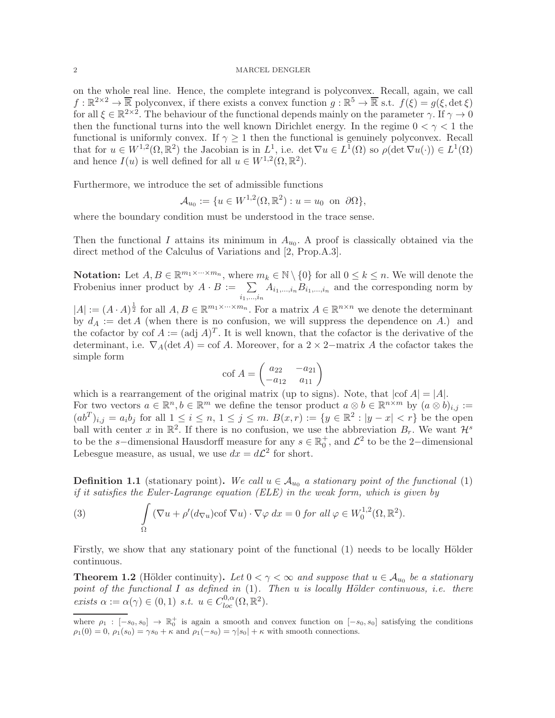### 2 MARCEL DENGLER

on the whole real line. Hence, the complete integrand is polyconvex. Recall, again, we call  $f: \mathbb{R}^{2\times 2} \to \overline{\mathbb{R}}$  polyconvex, if there exists a convex function  $g: \mathbb{R}^5 \to \overline{\mathbb{R}}$  s.t.  $f(\xi) = g(\xi, \det \xi)$ for all  $\xi \in \mathbb{R}^{2\times 2}$ . The behaviour of the functional depends mainly on the parameter  $\gamma$ . If  $\gamma \to 0$ then the functional turns into the well known Dirichlet energy. In the regime  $0 < \gamma < 1$  the functional is uniformly convex. If  $\gamma \geq 1$  then the functional is genuinely polyconvex. Recall that for  $u \in W^{1,2}(\Omega,\mathbb{R}^2)$  the Jacobian is in  $L^1$ , i.e. det  $\nabla u \in L^1(\Omega)$  so  $\rho(\det \nabla u(\cdot)) \in L^1(\Omega)$ and hence  $I(u)$  is well defined for all  $u \in W^{1,2}(\Omega,\mathbb{R}^2)$ .

Furthermore, we introduce the set of admissible functions

$$
\mathcal{A}_{u_0} := \{ u \in W^{1,2}(\Omega, \mathbb{R}^2) : u = u_0 \text{ on } \partial \Omega \},
$$

where the boundary condition must be understood in the trace sense.

Then the functional I attains its minimum in  $A_{u_0}$ . A proof is classically obtained via the direct method of the Calculus of Variations and [2, Prop.A.3].

**Notation:** Let  $A, B \in \mathbb{R}^{m_1 \times \dots \times m_n}$ , where  $m_k \in \mathbb{N} \setminus \{0\}$  for all  $0 \le k \le n$ . We will denote the Frobenius inner product by  $A \cdot B := \sum$  $i_1,...,i_n$  $A_{i_1,\ldots,i_n}B_{i_1,\ldots,i_n}$  and the corresponding norm by

 $|A| := (A \cdot A)^{\frac{1}{2}}$  for all  $A, B \in \mathbb{R}^{m_1 \times \dots \times m_n}$ . For a matrix  $A \in \mathbb{R}^{n \times n}$  we denote the determinant by  $d_A := \det A$  (when there is no confusion, we will suppress the dependence on A.) and the cofactor by cof  $A := (adj A)^T$ . It is well known, that the cofactor is the derivative of the determinant, i.e.  $\nabla_A(\det A) = \text{cof }A$ . Moreover, for a 2 × 2−matrix A the cofactor takes the simple form

$$
\text{cof } A = \begin{pmatrix} a_{22} & -a_{21} \\ -a_{12} & a_{11} \end{pmatrix}
$$

which is a rearrangement of the original matrix (up to signs). Note, that  $|cof A| = |A|$ . For two vectors  $a \in \mathbb{R}^n, b \in \mathbb{R}^m$  we define the tensor product  $a \otimes b \in \mathbb{R}^{n \times m}$  by  $(a \otimes b)_{i,j} :=$  $(ab^{T})_{i,j} = a_{i}b_{j}$  for all  $1 \leq i \leq n, 1 \leq j \leq m$ .  $B(x,r) := \{y \in \mathbb{R}^{2} : |y - x| < r\}$  be the open ball with center x in  $\mathbb{R}^2$ . If there is no confusion, we use the abbreviation  $B_r$ . We want  $\mathcal{H}^s$ to be the s-dimensional Hausdorff measure for any  $s \in \mathbb{R}^+_0$ , and  $\mathcal{L}^2$  to be the 2-dimensional Lebesgue measure, as usual, we use  $dx = d\mathcal{L}^2$  for short.

**Definition 1.1** (stationary point). We call  $u \in A_{u_0}$  a stationary point of the functional (1) if it satisfies the Euler-Lagrange equation (ELE) in the weak form, which is given by

(3) 
$$
\int_{\Omega} (\nabla u + \rho'(d_{\nabla u}) \cot \nabla u) \cdot \nabla \varphi \, dx = 0 \text{ for all } \varphi \in W_0^{1,2}(\Omega, \mathbb{R}^2).
$$

Firstly, we show that any stationary point of the functional (1) needs to be locally Hölder continuous.

**Theorem 1.2** (Hölder continuity). Let  $0 < \gamma < \infty$  and suppose that  $u \in A_{u_0}$  be a stationary point of the functional  $I$  as defined in  $(1)$ . Then  $u$  is locally Hölder continuous, i.e. there exists  $\alpha := \alpha(\gamma) \in (0, 1)$  s.t.  $u \in C_{loc}^{0, \alpha}(\Omega, \mathbb{R}^2)$ .

where  $\rho_1 : [-s_0, s_0] \to \mathbb{R}_0^+$  is again a smooth and convex function on  $[-s_0, s_0]$  satisfying the conditions  $\rho_1(0) = 0$ ,  $\rho_1(s_0) = \gamma s_0 + \kappa$  and  $\rho_1(-s_0) = \gamma |s_0| + \kappa$  with smooth connections.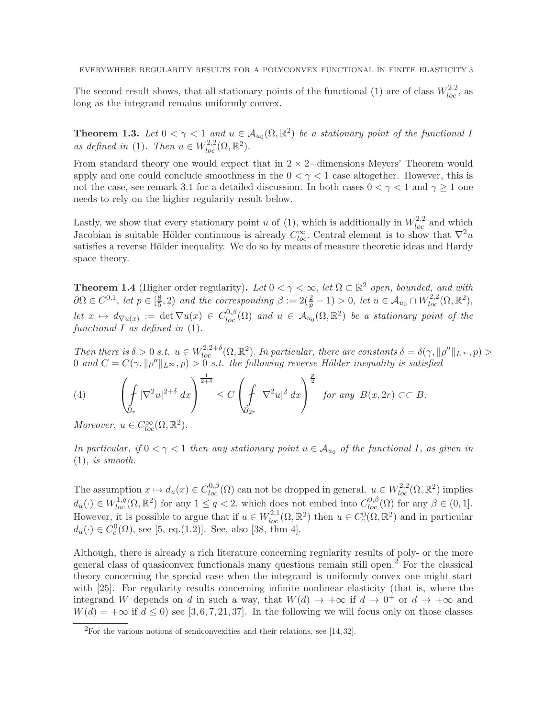The second result shows, that all stationary points of the functional (1) are of class  $W_{loc}^{2,2}$ , as long as the integrand remains uniformly convex.

**Theorem 1.3.** Let  $0 < \gamma < 1$  and  $u \in A_{u_0}(\Omega, \mathbb{R}^2)$  be a stationary point of the functional I as defined in (1). Then  $u \in W_{loc}^{2,2}(\Omega,\mathbb{R}^2)$ .

From standard theory one would expect that in  $2 \times 2$ −dimensions Meyers' Theorem would apply and one could conclude smoothness in the  $0 < \gamma < 1$  case altogether. However, this is not the case, see remark 3.1 for a detailed discussion. In both cases  $0 < \gamma < 1$  and  $\gamma \ge 1$  one needs to rely on the higher regularity result below.

Lastly, we show that every stationary point u of (1), which is additionally in  $W_{loc}^{2,2}$  and which Jacobian is suitable Hölder continuous is already  $C^{\infty}_{loc}$ . Central element is to show that  $\nabla^2 u$ satisfies a reverse Hölder inequality. We do so by means of measure theoretic ideas and Hardy space theory.

**Theorem 1.4** (Higher order regularity). Let  $0 < \gamma < \infty$ , let  $\Omega \subset \mathbb{R}^2$  open, bounded, and with  $\partial\Omega \in C^{0,1}, \text{ let } p \in \left[\frac{8}{5}\right]$  $(\frac{8}{5},2)$  and the corresponding  $\beta := 2(\frac{2}{p}-1) > 0$ , let  $u \in \mathcal{A}_{u_0} \cap W_{loc}^{2,2}(\Omega,\mathbb{R}^2)$ , let  $x \mapsto d_{\nabla u(x)} := \det \nabla u(x) \in C^{0,\beta}_{loc}(\Omega)$  and  $u \in A_{u_0}(\Omega, \mathbb{R}^2)$  be a stationary point of the functional  $I$  as defined in  $(1)$ .

Then there is  $\delta > 0$  s.t.  $u \in W_{loc}^{2,2+\delta}(\Omega,\mathbb{R}^2)$ . In particular, there are constants  $\delta = \delta(\gamma, ||\rho''||_{L^{\infty}}, p) >$ 0 and  $C = C(\gamma, ||\rho''||_{L^{\infty}}, p) > 0$  s.t. the following reverse Hölder inequality is satisfied

(4) 
$$
\left(\oint\limits_{B_r} |\nabla^2 u|^{2+\delta} dx\right)^{\frac{1}{2+\delta}} \leq C \left(\int\limits_{B_{2r}} |\nabla^2 u|^2 dx\right)^{\frac{p}{2}} \text{ for any } B(x, 2r) \subset\subset B.
$$

Moreover,  $u \in C^{\infty}_{loc}(\Omega, \mathbb{R}^2)$ .

In particular, if  $0 < \gamma < 1$  then any stationary point  $u \in A_{u_0}$  of the functional I, as given in  $(1)$ , is smooth.

The assumption  $x \mapsto d_u(x) \in C^{0,\beta}_{loc}(\Omega)$  can not be dropped in general.  $u \in W^{2,2}_{loc}(\Omega,\mathbb{R}^2)$  implies  $d_u(\cdot) \in W^{1,q}_{loc}(\Omega,\mathbb{R}^2)$  for any  $1 \le q < 2$ , which does not embed into  $C^{0,\beta}_{loc}(\Omega)$  for any  $\beta \in (0,1]$ . However, it is possible to argue that if  $u \in W_{loc}^{2,1}(\Omega,\mathbb{R}^2)$  then  $u \in C_c^0(\Omega,\mathbb{R}^2)$  and in particular  $d_u(\cdot) \in C_c^0(\Omega)$ , see [5, eq.(1.2)]. See, also [38, thm 4].

Although, there is already a rich literature concerning regularity results of poly- or the more general class of quasiconvex functionals many questions remain still open.<sup>2</sup> For the classical theory concerning the special case when the integrand is uniformly convex one might start with [25]. For regularity results concerning infinite nonlinear elasticity (that is, where the integrand W depends on d in such a way, that  $W(d) \rightarrow +\infty$  if  $d \rightarrow 0^+$  or  $d \rightarrow +\infty$  and  $W(d) = +\infty$  if  $d \leq 0$ ) see [3, 6, 7, 21, 37]. In the following we will focus only on those classes

 $2$ For the various notions of semiconvexities and their relations, see [14, 32].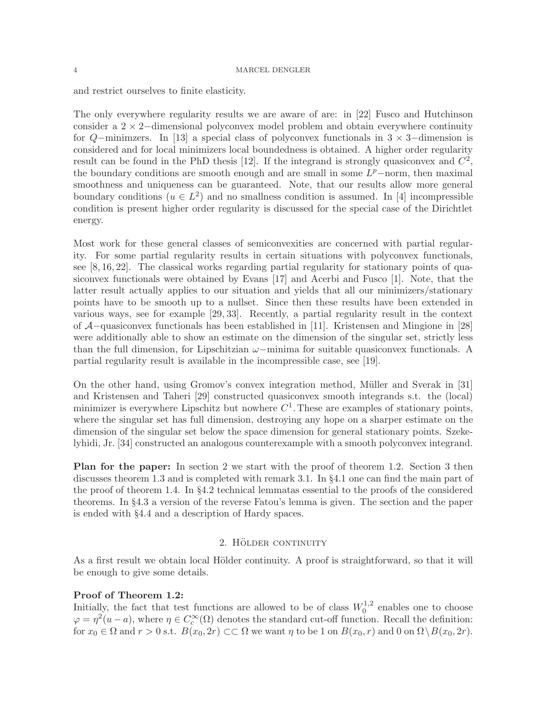and restrict ourselves to finite elasticity.

The only everywhere regularity results we are aware of are: in [22] Fusco and Hutchinson consider a 2 × 2−dimensional polyconvex model problem and obtain everywhere continuity for  $Q$ −minimzers. In [13] a special class of polyconvex functionals in  $3 \times 3$ −dimension is considered and for local minimizers local boundedness is obtained. A higher order regularity result can be found in the PhD thesis [12]. If the integrand is strongly quasiconvex and  $C^2$ , the boundary conditions are smooth enough and are small in some  $L^p$ -norm, then maximal smoothness and uniqueness can be guaranteed. Note, that our results allow more general boundary conditions  $(u \in L^2)$  and no smallness condition is assumed. In [4] incompressible condition is present higher order regularity is discussed for the special case of the Dirichtlet energy.

Most work for these general classes of semiconvexities are concerned with partial regularity. For some partial regularity results in certain situations with polyconvex functionals, see [8, 16, 22]. The classical works regarding partial regularity for stationary points of quasiconvex functionals were obtained by Evans [17] and Acerbi and Fusco [1]. Note, that the latter result actually applies to our situation and yields that all our minimizers/stationary points have to be smooth up to a nullset. Since then these results have been extended in various ways, see for example [29, 33]. Recently, a partial regularity result in the context of A−quasiconvex functionals has been established in [11]. Kristensen and Mingione in [28] were additionally able to show an estimate on the dimension of the singular set, strictly less than the full dimension, for Lipschitzian  $\omega$ –minima for suitable quasiconvex functionals. A partial regularity result is available in the incompressible case, see [19].

On the other hand, using Gromov's convex integration method, Müller and Sverak in [31] and Kristensen and Taheri [29] constructed quasiconvex smooth integrands s.t. the (local) minimizer is everywhere Lipschitz but nowhere  $C^1$ . These are examples of stationary points, where the singular set has full dimension, destroying any hope on a sharper estimate on the dimension of the singular set below the space dimension for general stationary points. Szekelyhidi, Jr. [34] constructed an analogous counterexample with a smooth polyconvex integrand.

Plan for the paper: In section 2 we start with the proof of theorem 1.2. Section 3 then discusses theorem 1.3 and is completed with remark 3.1. In §4.1 one can find the main part of the proof of theorem 1.4. In §4.2 technical lemmatas essential to the proofs of the considered theorems. In §4.3 a version of the reverse Fatou's lemma is given. The section and the paper is ended with §4.4 and a description of Hardy spaces.

### 2. HÖLDER CONTINUITY

As a first result we obtain local Hölder continuity. A proof is straightforward, so that it will be enough to give some details.

### Proof of Theorem 1.2:

Initially, the fact that test functions are allowed to be of class  $W_0^{1,2}$  $_{0}^{1,2}$  enables one to choose  $\varphi = \eta^2(u-a)$ , where  $\eta \in C_c^{\infty}(\Omega)$  denotes the standard cut-off function. Recall the definition: for  $x_0 \in \Omega$  and  $r > 0$  s.t.  $B(x_0, 2r) \subset\subset \Omega$  we want  $\eta$  to be 1 on  $B(x_0, r)$  and 0 on  $\Omega \setminus B(x_0, 2r)$ .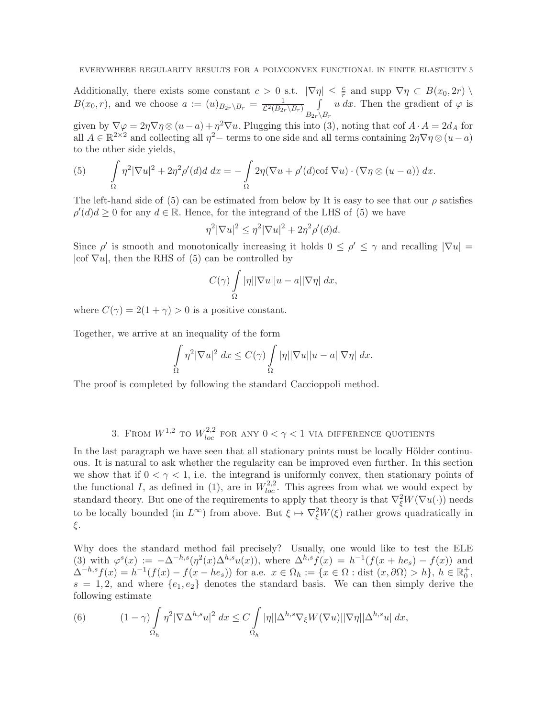Additionally, there exists some constant  $c > 0$  s.t.  $|\nabla \eta| \leq \frac{c}{r}$  and supp  $\nabla \eta \subset B(x_0, 2r)$  $B(x_0,r)$ , and we choose  $a := (u)_{B_{2r}\setminus B_r} = \frac{1}{\mathcal{L}^2(B_{2r}\setminus B_r)}$  $B_{2r}\backslash B_r$ u dx. Then the gradient of  $\varphi$  is

given by  $\nabla \varphi = 2\eta \nabla \eta \otimes (u-a) + \eta^2 \nabla u$ . Plugging this into (3), noting that cof  $A \cdot A = 2d_A$  for all  $A \in \mathbb{R}^{2 \times 2}$  and collecting all  $\eta^2$  – terms to one side and all terms containing  $2\eta \nabla \eta \otimes (u-a)$ to the other side yields,

(5) 
$$
\int_{\Omega} \eta^2 |\nabla u|^2 + 2\eta^2 \rho'(d) d \ dx = -\int_{\Omega} 2\eta (\nabla u + \rho'(d) \cot \nabla u) \cdot (\nabla \eta \otimes (u - a)) \ dx.
$$

The left-hand side of (5) can be estimated from below by It is easy to see that our  $\rho$  satisfies  $\rho'(d) d \geq 0$  for any  $d \in \mathbb{R}$ . Hence, for the integrand of the LHS of (5) we have

$$
\eta^2 |\nabla u|^2 \le \eta^2 |\nabla u|^2 + 2\eta^2 \rho'(d)d.
$$

Since  $\rho'$  is smooth and monotonically increasing it holds  $0 \leq \rho' \leq \gamma$  and recalling  $|\nabla u|$  $|cof \nabla u|$ , then the RHS of (5) can be controlled by

$$
C(\gamma) \int\limits_{\Omega} |\eta| |\nabla u| |u - a| |\nabla \eta| \, dx,
$$

where  $C(\gamma) = 2(1 + \gamma) > 0$  is a positive constant.

Together, we arrive at an inequality of the form

$$
\int_{\Omega} \eta^2 |\nabla u|^2 dx \le C(\gamma) \int_{\Omega} |\eta| |\nabla u| |u - a| |\nabla \eta| dx.
$$

The proof is completed by following the standard Caccioppoli method.

3. FROM  $W^{1,2}$  to  $W^{2,2}_{loc}$  for any  $0 < \gamma < 1$  via difference quotients

In the last paragraph we have seen that all stationary points must be locally Hölder continuous. It is natural to ask whether the regularity can be improved even further. In this section we show that if  $0 < \gamma < 1$ , i.e. the integrand is uniformly convex, then stationary points of the functional I, as defined in (1), are in  $W_{loc}^{2,2}$ . This agrees from what we would expect by standard theory. But one of the requirements to apply that theory is that  $\nabla_{\xi}^2 W(\nabla u(\cdot))$  needs to be locally bounded (in  $L^{\infty}$ ) from above. But  $\xi \mapsto \nabla_{\xi}^{2}W(\xi)$  rather grows quadratically in ξ.

Why does the standard method fail precisely? Usually, one would like to test the ELE (3) with  $\varphi^{s}(x) := -\Delta^{-h,s}(\eta^{2}(x)\Delta^{h,s}u(x)),$  where  $\Delta^{h,s}f(x) = h^{-1}(f(x + he_{s}) - f(x))$  and  $\Delta^{-h,s}f(x) = h^{-1}(f(x) - f(x - he_s))$  for a.e.  $x \in \Omega_h := \{x \in \Omega : \text{dist}(x, \partial\Omega) > h\}, h \in \mathbb{R}_0^+,$  $s = 1, 2$ , and where  $\{e_1, e_2\}$  denotes the standard basis. We can then simply derive the following estimate

(6) 
$$
(1 - \gamma) \int_{\Omega_h} \eta^2 |\nabla \Delta^{h,s} u|^2 dx \leq C \int_{\Omega_h} |\eta| |\Delta^{h,s} \nabla_{\xi} W(\nabla u)| |\nabla \eta| |\Delta^{h,s} u| dx,
$$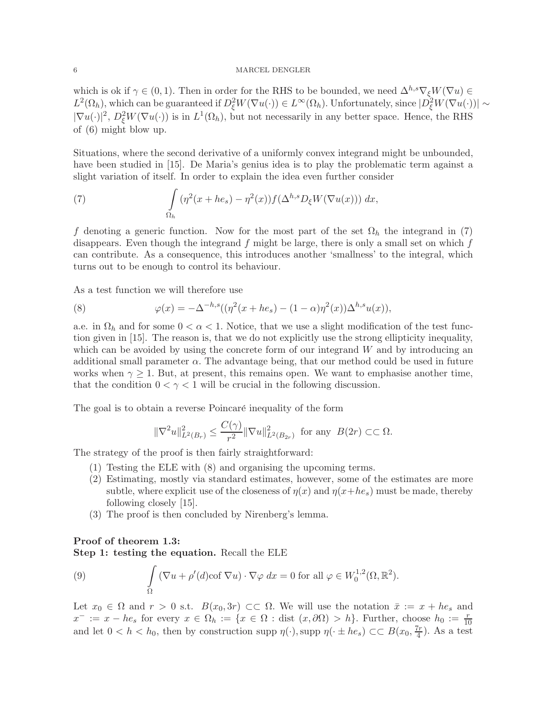### 6 MARCEL DENGLER

which is ok if  $\gamma \in (0,1)$ . Then in order for the RHS to be bounded, we need  $\Delta^{h,s} \nabla_{\xi} W(\nabla u) \in$  $L^2(\Omega_h)$ , which can be guaranteed if  $D_\xi^2 W(\nabla u(\cdot)) \in L^\infty(\Omega_h)$ . Unfortunately, since  $|D_\xi^2 W(\nabla u(\cdot))| \sim$  $|\nabla u(\cdot)|^2$ ,  $D_{\xi}^2 W(\nabla u(\cdot))$  is in  $L^1(\Omega_h)$ , but not necessarily in any better space. Hence, the RHS of (6) might blow up.

Situations, where the second derivative of a uniformly convex integrand might be unbounded, have been studied in [15]. De Maria's genius idea is to play the problematic term against a slight variation of itself. In order to explain the idea even further consider

(7) 
$$
\int_{\Omega_h} (\eta^2(x+he_s)-\eta^2(x))f(\Delta^{h,s}D_{\xi}W(\nabla u(x))) dx,
$$

f denoting a generic function. Now for the most part of the set  $\Omega_h$  the integrand in (7) disappears. Even though the integrand  $f$  might be large, there is only a small set on which  $f$ can contribute. As a consequence, this introduces another 'smallness' to the integral, which turns out to be enough to control its behaviour.

As a test function we will therefore use

(8) 
$$
\varphi(x) = -\Delta^{-h,s}((\eta^2(x+he_s) - (1-\alpha)\eta^2(x))\Delta^{h,s}u(x)),
$$

a.e. in  $\Omega_h$  and for some  $0 < \alpha < 1$ . Notice, that we use a slight modification of the test function given in [15]. The reason is, that we do not explicitly use the strong ellipticity inequality, which can be avoided by using the concrete form of our integrand  $W$  and by introducing an additional small parameter  $\alpha$ . The advantage being, that our method could be used in future works when  $\gamma \geq 1$ . But, at present, this remains open. We want to emphasise another time, that the condition  $0 < \gamma < 1$  will be crucial in the following discussion.

The goal is to obtain a reverse Poincaré inequality of the form

$$
\|\nabla^2 u\|_{L^2(B_r)}^2 \le \frac{C(\gamma)}{r^2} \|\nabla u\|_{L^2(B_{2r})}^2 \text{ for any } B(2r) \subset\subset \Omega.
$$

The strategy of the proof is then fairly straightforward:

- (1) Testing the ELE with (8) and organising the upcoming terms.
- (2) Estimating, mostly via standard estimates, however, some of the estimates are more subtle, where explicit use of the closeness of  $\eta(x)$  and  $\eta(x+he_s)$  must be made, thereby following closely [15].
- (3) The proof is then concluded by Nirenberg's lemma.

## Proof of theorem 1.3:

Step 1: testing the equation. Recall the ELE

(9) 
$$
\int_{\Omega} (\nabla u + \rho'(d) \cot \nabla u) \cdot \nabla \varphi dx = 0 \text{ for all } \varphi \in W_0^{1,2}(\Omega, \mathbb{R}^2).
$$

Let  $x_0 \in \Omega$  and  $r > 0$  s.t.  $B(x_0, 3r) \subset\subset \Omega$ . We will use the notation  $\bar{x} := x + he_s$  and  $x^- := x - he_s$  for every  $x \in \Omega_h := \{x \in \Omega : \text{dist}(x, \partial \Omega) > h\}.$  Further, choose  $h_0 := \frac{r}{10}$ and let  $0 < h < h_0$ , then by construction supp  $\eta(\cdot)$ , supp  $\eta(\cdot \pm he_s) \subset B(x_0, \frac{7r}{4})$  $\frac{(r}{4})$ . As a test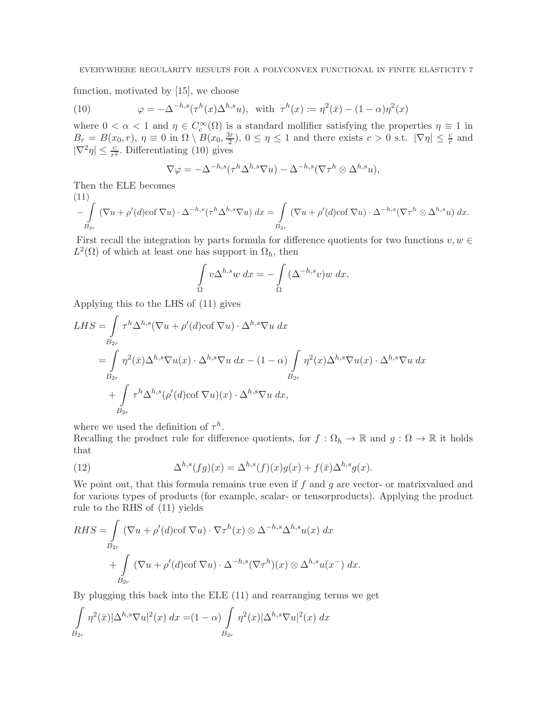function, motivated by [15], we choose

(10) 
$$
\varphi = -\Delta^{-h,s}(\tau^h(x)\Delta^{h,s}u), \text{ with } \tau^h(x) := \eta^2(\bar{x}) - (1-\alpha)\eta^2(x)
$$

where  $0 < \alpha < 1$  and  $\eta \in C_c^{\infty}(\Omega)$  is a standard mollifier satisfying the properties  $\eta \equiv 1$  in  $B_r = B(x_0, r), \eta \equiv 0 \text{ in } \Omega \setminus B(x_0, \frac{3r}{2})$  $\frac{3r}{2}$ ,  $0 \le \eta \le 1$  and there exists  $c > 0$  s.t.  $|\nabla \eta| \le \frac{c}{r}$  and  $|\nabla^2 \eta| \leq \frac{c}{r^2}$ . Differentiating (10) gives

$$
\nabla \varphi = -\Delta^{-h,s}(\tau^h \Delta^{h,s} \nabla u) - \Delta^{-h,s}(\nabla \tau^h \otimes \Delta^{h,s} u),
$$

Then the ELE becomes

(11)  

$$
-\int_{B_{2r}} (\nabla u + \rho'(d)\cot \nabla u) \cdot \Delta^{-h,s} (\tau^h \Delta^{h,s} \nabla u) dx = \int_{B_{2r}} (\nabla u + \rho'(d)\cot \nabla u) \cdot \Delta^{-h,s} (\nabla \tau^h \otimes \Delta^{h,s} u) dx.
$$

First recall the integration by parts formula for difference quotients for two functions  $v, w \in$  $L^2(\Omega)$  of which at least one has support in  $\Omega_h$ , then

$$
\int_{\Omega} v \Delta^{h,s} w \, dx = - \int_{\Omega} (\Delta^{-h,s} v) w \, dx.
$$

Applying this to the LHS of (11) gives

$$
LHS = \int_{B_{2r}} \tau^h \Delta^{h,s} (\nabla u + \rho'(d) \cot \nabla u) \cdot \Delta^{h,s} \nabla u \, dx
$$
  
= 
$$
\int_{B_{2r}} \eta^2(\bar{x}) \Delta^{h,s} \nabla u(x) \cdot \Delta^{h,s} \nabla u \, dx - (1 - \alpha) \int_{B_{2r}} \eta^2(x) \Delta^{h,s} \nabla u(x) \cdot \Delta^{h,s} \nabla u \, dx
$$
  
+ 
$$
\int_{B_{2r}} \tau^h \Delta^{h,s} (\rho'(d) \cot \nabla u)(x) \cdot \Delta^{h,s} \nabla u \, dx,
$$

where we used the definition of  $\tau^h$ .

Recalling the product rule for difference quotients, for  $f : \Omega_h \to \mathbb{R}$  and  $g : \Omega \to \mathbb{R}$  it holds that

(12) 
$$
\Delta^{h,s}(fg)(x) = \Delta^{h,s}(f)(x)g(x) + f(\bar{x})\Delta^{h,s}g(x).
$$

We point out, that this formula remains true even if  $f$  and  $g$  are vector- or matrixvalued and for various types of products (for example, scalar- or tensorproducts). Applying the product rule to the RHS of (11) yields

$$
RHS = \int_{B_{2r}} (\nabla u + \rho'(d)\cot \nabla u) \cdot \nabla \tau^h(x) \otimes \Delta^{-h,s} \Delta^{h,s} u(x) dx + \int_{B_{2r}} (\nabla u + \rho'(d)\cot \nabla u) \cdot \Delta^{-h,s} (\nabla \tau^h)(x) \otimes \Delta^{h,s} u(x^-) dx.
$$

By plugging this back into the ELE (11) and rearranging terms we get

$$
\int_{B_{2r}} \eta^2(\bar{x}) |\Delta^{h,s} \nabla u|^2(x) dx = (1-\alpha) \int_{B_{2r}} \eta^2(x) |\Delta^{h,s} \nabla u|^2(x) dx
$$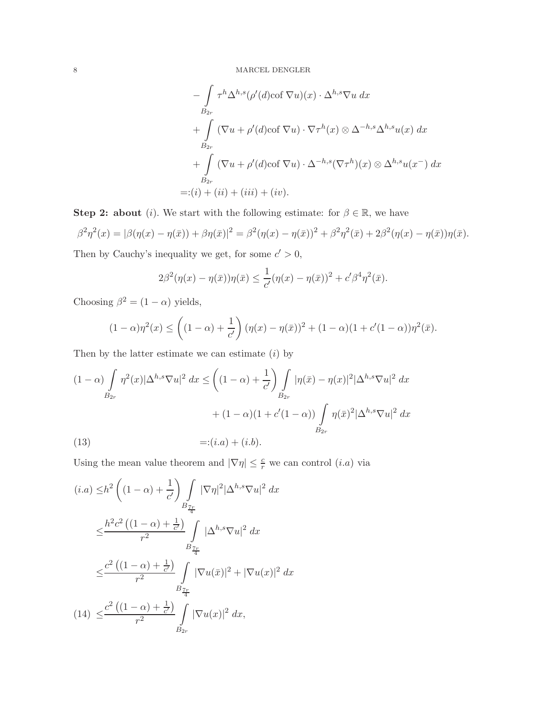$$
-\int_{B_{2r}} \tau^h \Delta^{h,s} (\rho'(d) \cot \nabla u)(x) \cdot \Delta^{h,s} \nabla u \, dx
$$
  
+ 
$$
\int_{B_{2r}} (\nabla u + \rho'(d) \cot \nabla u) \cdot \nabla \tau^h(x) \otimes \Delta^{-h,s} \Delta^{h,s} u(x) \, dx
$$
  
+ 
$$
\int_{B_{2r}} (\nabla u + \rho'(d) \cot \nabla u) \cdot \Delta^{-h,s} (\nabla \tau^h)(x) \otimes \Delta^{h,s} u(x^{-}) \, dx
$$
  
=:  $(i) + (ii) + (iii) + (iv).$ 

**Step 2: about** (*i*). We start with the following estimate: for  $\beta \in \mathbb{R}$ , we have  $\beta^2 \eta^2(x) = |\beta(\eta(x) - \eta(\bar{x})) + \beta \eta(\bar{x})|^2 = \beta^2(\eta(x) - \eta(\bar{x}))^2 + \beta^2 \eta^2(\bar{x}) + 2\beta^2(\eta(x) - \eta(\bar{x}))\eta(\bar{x}).$ 

Then by Cauchy's inequality we get, for some  $c' > 0$ ,

$$
2\beta^2(\eta(x) - \eta(\bar{x}))\eta(\bar{x}) \le \frac{1}{c'}(\eta(x) - \eta(\bar{x}))^2 + c'\beta^4\eta^2(\bar{x}).
$$

Choosing  $\beta^2 = (1 - \alpha)$  yields,

$$
(1 - \alpha)\eta^{2}(x) \leq \left( (1 - \alpha) + \frac{1}{c'} \right) (\eta(x) - \eta(\bar{x}))^{2} + (1 - \alpha)(1 + c'(1 - \alpha))\eta^{2}(\bar{x}).
$$

Then by the latter estimate we can estimate  $(i)$  by

(1- 
$$
\alpha
$$
)  $\int_{B_{2r}} \eta^2(x) |\Delta^{h,s} \nabla u|^2 dx \le \left( (1-\alpha) + \frac{1}{c'} \right) \int_{B_{2r}} |\eta(\bar{x}) - \eta(x)|^2 |\Delta^{h,s} \nabla u|^2 dx$   
  $+ (1-\alpha)(1 + c'(1-\alpha)) \int_{B_{2r}} \eta(\bar{x})^2 |\Delta^{h,s} \nabla u|^2 dx$   
(13)  $=:(i.a) + (i.b).$ 

Using the mean value theorem and  $|\nabla \eta| \leq \frac{c}{r}$  we can control  $(i.a)$  via

$$
(i.a) \leq h^2 \left( (1 - \alpha) + \frac{1}{c'} \right) \int_{B_{\frac{7r}{4}}} |\nabla \eta|^2 |\Delta^{h,s} \nabla u|^2 dx
$$
  

$$
\leq \frac{h^2 c^2 \left( (1 - \alpha) + \frac{1}{c'} \right)}{r^2} \int_{B_{\frac{7r}{4}}} |\Delta^{h,s} \nabla u|^2 dx
$$
  

$$
\leq \frac{c^2 \left( (1 - \alpha) + \frac{1}{c'} \right)}{r^2} \int_{B_{\frac{7r}{4}}} |\nabla u(\bar{x})|^2 + |\nabla u(x)|^2 dx
$$
  

$$
(14) \leq \frac{c^2 \left( (1 - \alpha) + \frac{1}{c'} \right)}{r^2} \int_{B_{2r}} |\nabla u(x)|^2 dx,
$$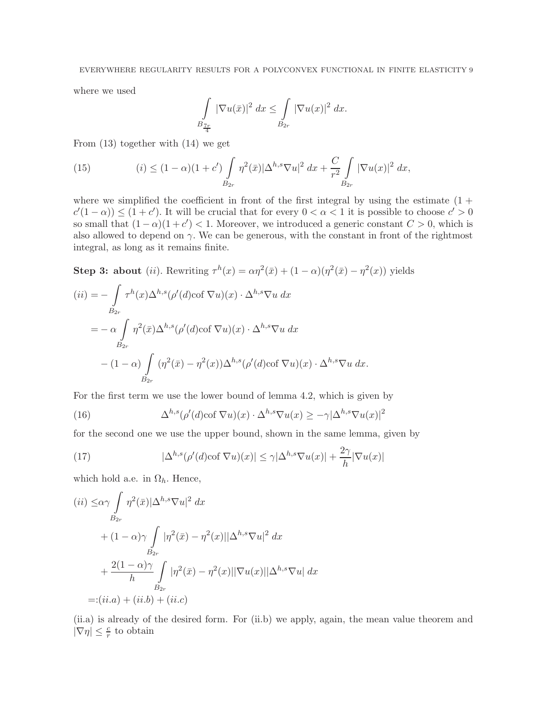where we used

$$
\int_{B_{\frac{7r}{4}}} |\nabla u(\bar{x})|^2 dx \leq \int_{B_{2r}} |\nabla u(x)|^2 dx.
$$

From (13) together with (14) we get

(15) 
$$
(i) \le (1 - \alpha)(1 + c') \int_{B_{2r}} \eta^2(\bar{x}) |\Delta^{h,s} \nabla u|^2 dx + \frac{C}{r^2} \int_{B_{2r}} |\nabla u(x)|^2 dx,
$$

where we simplified the coefficient in front of the first integral by using the estimate  $(1 +$  $c'(1-\alpha) \leq (1+c')$ . It will be crucial that for every  $0 < \alpha < 1$  it is possible to choose  $c' > 0$ so small that  $(1 - \alpha)(1 + c') < 1$ . Moreover, we introduced a generic constant  $C > 0$ , which is also allowed to depend on  $\gamma$ . We can be generous, with the constant in front of the rightmost integral, as long as it remains finite.

**Step 3: about** (*ii*). Rewriting  $\tau^h(x) = \alpha \eta^2(\bar{x}) + (1 - \alpha)(\eta^2(\bar{x}) - \eta^2(x))$  yields

$$
(ii) = -\int_{B_{2r}} \tau^h(x) \Delta^{h,s} (\rho'(d) \cot \nabla u)(x) \cdot \Delta^{h,s} \nabla u \, dx
$$
  
=  $-\alpha \int_{B_{2r}} \eta^2(\bar{x}) \Delta^{h,s} (\rho'(d) \cot \nabla u)(x) \cdot \Delta^{h,s} \nabla u \, dx$   
 $-(1-\alpha) \int_{B_{2r}} (\eta^2(\bar{x}) - \eta^2(x)) \Delta^{h,s} (\rho'(d) \cot \nabla u)(x) \cdot \Delta^{h,s} \nabla u \, dx.$ 

For the first term we use the lower bound of lemma 4.2, which is given by

(16) 
$$
\Delta^{h,s}(\rho'(d)\cot \nabla u)(x) \cdot \Delta^{h,s} \nabla u(x) \geq -\gamma |\Delta^{h,s} \nabla u(x)|^2
$$

for the second one we use the upper bound, shown in the same lemma, given by

(17) 
$$
|\Delta^{h,s}(\rho'(d)\cot \nabla u)(x)| \leq \gamma |\Delta^{h,s} \nabla u(x)| + \frac{2\gamma}{h} |\nabla u(x)|
$$

which hold a.e. in  $\Omega_h$ . Hence,

$$
(ii) \leq \alpha \gamma \int_{B_{2r}} \eta^2(\bar{x}) |\Delta^{h,s} \nabla u|^2 dx
$$
  
+  $(1 - \alpha) \gamma \int_{B_{2r}} |\eta^2(\bar{x}) - \eta^2(x)| |\Delta^{h,s} \nabla u|^2 dx$   
+  $\frac{2(1 - \alpha)\gamma}{h} \int_{B_{2r}} |\eta^2(\bar{x}) - \eta^2(x)| |\nabla u(x)| |\Delta^{h,s} \nabla u| dx$   
=:  $(ii.a) + (ii.b) + (ii.c)$ 

(ii.a) is already of the desired form. For (ii.b) we apply, again, the mean value theorem and  $|\nabla \eta| \leq \frac{c}{r}$  to obtain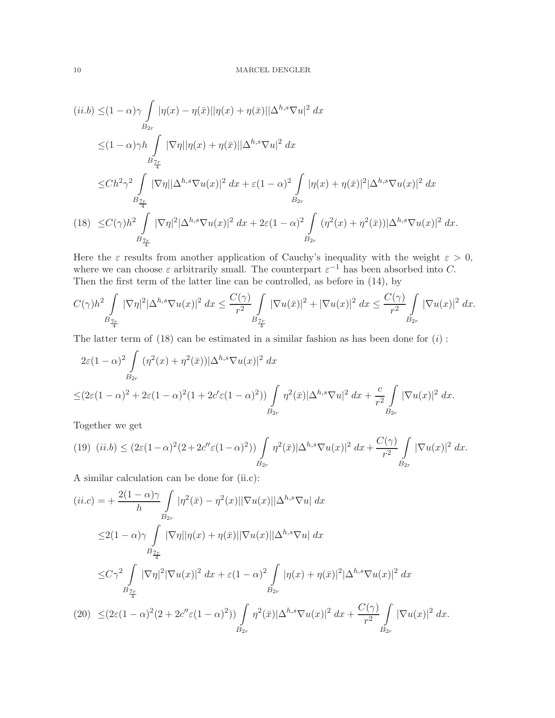$$
(ii.b) \leq (1 - \alpha)\gamma \int_{B_{2r}} |\eta(x) - \eta(\bar{x})||\eta(x) + \eta(\bar{x})||\Delta^{h,s}\nabla u|^2 dx
$$
  
\n
$$
\leq (1 - \alpha)\gamma h \int_{B_{\frac{7r}{4}}^r} |\nabla \eta||\eta(x) + \eta(\bar{x})||\Delta^{h,s}\nabla u|^2 dx
$$
  
\n
$$
\leq Ch^2 \gamma^2 \int_{B_{\frac{7r}{4}}} |\nabla \eta||\Delta^{h,s}\nabla u(x)|^2 dx + \varepsilon (1 - \alpha)^2 \int_{B_{2r}} |\eta(x) + \eta(\bar{x})|^2 |\Delta^{h,s}\nabla u(x)|^2 dx
$$
  
\n
$$
(18) \leq C(\gamma)h^2 \int_{B_{\frac{7r}{4}}} |\nabla \eta|^2 |\Delta^{h,s}\nabla u(x)|^2 dx + 2\varepsilon (1 - \alpha)^2 \int_{B_{2r}} (\eta^2(x) + \eta^2(\bar{x})) |\Delta^{h,s}\nabla u(x)|^2 dx.
$$

Here the  $\varepsilon$  results from another application of Cauchy's inequality with the weight  $\varepsilon > 0$ , where we can choose  $\varepsilon$  arbitrarily small. The counterpart  $\varepsilon^{-1}$  has been absorbed into C. Then the first term of the latter line can be controlled, as before in (14), by

$$
C(\gamma)h^2 \int\limits_{B_{\frac{7r}{4}}} |\nabla \eta|^2 |\Delta^{h,s} \nabla u(x)|^2 \ dx \leq \frac{C(\gamma)}{r^2} \int\limits_{B_{\frac{7r}{4}}} |\nabla u(\bar x)|^2 + |\nabla u(x)|^2 \ dx \leq \frac{C(\gamma)}{r^2} \int\limits_{B_{2r}} |\nabla u(x)|^2 \ dx.
$$

The latter term of  $(18)$  can be estimated in a similar fashion as has been done for  $(i)$ :

$$
2\varepsilon(1-\alpha)^2 \int\limits_{B_{2r}} (\eta^2(x) + \eta^2(\bar{x})) |\Delta^{h,s} \nabla u(x)|^2 dx
$$
  

$$
\leq (2\varepsilon(1-\alpha)^2 + 2\varepsilon(1-\alpha)^2(1 + 2c' \varepsilon(1-\alpha)^2)) \int\limits_{B_{2r}} \eta^2(\bar{x}) |\Delta^{h,s} \nabla u|^2 dx + \frac{c}{r^2} \int\limits_{B_{2r}} |\nabla u(x)|^2 dx.
$$

Together we get

$$
(19) \ \ (ii.b) \leq (2\varepsilon(1-\alpha)^2(2+2c''\varepsilon(1-\alpha)^2))\int\limits_{B_{2r}} \eta^2(\bar{x})|\Delta^{h,s}\nabla u(x)|^2\ dx + \frac{C(\gamma)}{r^2}\int\limits_{B_{2r}} |\nabla u(x)|^2\ dx.
$$

A similar calculation can be done for (ii.c):

$$
(ii.c) = + \frac{2(1-\alpha)\gamma}{h} \int_{B_{2r}} |\eta^2(\bar{x}) - \eta^2(x)| |\nabla u(x)| |\Delta^{h,s} \nabla u| dx
$$
  
\n
$$
\leq 2(1-\alpha)\gamma \int_{B_{\frac{7r}{4}}} |\nabla \eta| |\eta(x) + \eta(\bar{x})| |\nabla u(x)| |\Delta^{h,s} \nabla u| dx
$$
  
\n
$$
\leq C\gamma^2 \int_{B_{\frac{7r}{4}}} |\nabla \eta|^2 |\nabla u(x)|^2 dx + \varepsilon (1-\alpha)^2 \int_{B_{2r}} |\eta(x) + \eta(\bar{x})|^2 |\Delta^{h,s} \nabla u(x)|^2 dx
$$
  
\n(20) 
$$
\leq (2\varepsilon (1-\alpha)^2 (2 + 2c''\varepsilon (1-\alpha)^2)) \int_{B_{2r}} \eta^2(\bar{x}) |\Delta^{h,s} \nabla u(x)|^2 dx + \frac{C(\gamma)}{r^2} \int_{B_{2r}} |\nabla u(x)|^2 dx.
$$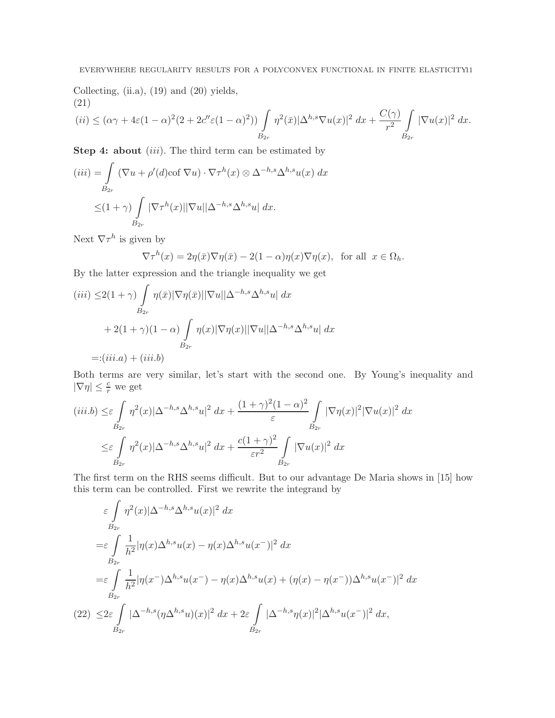Collecting, (ii.a), (19) and (20) yields, (21)

$$
(ii) \leq (\alpha \gamma + 4\varepsilon (1 - \alpha)^2 (2 + 2c'' \varepsilon (1 - \alpha)^2)) \int\limits_{B_{2r}} \eta^2(\bar{x}) |\Delta^{h,s} \nabla u(x)|^2 dx + \frac{C(\gamma)}{r^2} \int\limits_{B_{2r}} |\nabla u(x)|^2 dx.
$$

**Step 4: about**  $(iii)$ . The third term can be estimated by

$$
(iii) = \int_{B_{2r}} (\nabla u + \rho'(d)\text{cof }\nabla u) \cdot \nabla \tau^h(x) \otimes \Delta^{-h,s} \Delta^{h,s} u(x) dx
$$

$$
\leq (1+\gamma) \int_{B_{2r}} |\nabla \tau^h(x)| |\nabla u| |\Delta^{-h,s} \Delta^{h,s} u| dx.
$$

Next  $\nabla \tau^h$  is given by

$$
\nabla \tau^h(x) = 2\eta(\bar{x}) \nabla \eta(\bar{x}) - 2(1 - \alpha)\eta(x) \nabla \eta(x), \text{ for all } x \in \Omega_h.
$$

By the latter expression and the triangle inequality we get

$$
(iii) \leq 2(1+\gamma) \int_{B_{2r}} \eta(\bar{x}) |\nabla \eta(\bar{x})| |\nabla u| |\Delta^{-h,s} \Delta^{h,s} u| dx
$$
  
+ 2(1+\gamma)(1-\alpha) \int\_{B\_{2r}} \eta(x) |\nabla \eta(x)| |\nabla u| |\Delta^{-h,s} \Delta^{h,s} u| dx  
 =: (iii.a) + (iii.b)

Both terms are very similar, let's start with the second one. By Young's inequality and  $|\nabla \eta| \leq \frac{c}{r}$  we get

$$
(iii.b) \leq \varepsilon \int\limits_{B_{2r}} \eta^2(x) |\Delta^{-h,s} \Delta^{h,s} u|^2 dx + \frac{(1+\gamma)^2 (1-\alpha)^2}{\varepsilon} \int\limits_{B_{2r}} |\nabla \eta(x)|^2 |\nabla u(x)|^2 dx
$$
  

$$
\leq \varepsilon \int\limits_{B_{2r}} \eta^2(x) |\Delta^{-h,s} \Delta^{h,s} u|^2 dx + \frac{c(1+\gamma)^2}{\varepsilon r^2} \int\limits_{B_{2r}} |\nabla u(x)|^2 dx
$$

The first term on the RHS seems difficult. But to our advantage De Maria shows in [15] how this term can be controlled. First we rewrite the integrand by

$$
\varepsilon \int_{B_{2r}} \eta^2(x) |\Delta^{-h,s} \Delta^{h,s} u(x)|^2 dx
$$
  
\n
$$
= \varepsilon \int_{B_{2r}} \frac{1}{h^2} |\eta(x) \Delta^{h,s} u(x) - \eta(x) \Delta^{h,s} u(x^-)|^2 dx
$$
  
\n
$$
= \varepsilon \int_{B_{2r}} \frac{1}{h^2} |\eta(x^-) \Delta^{h,s} u(x^-) - \eta(x) \Delta^{h,s} u(x) + (\eta(x) - \eta(x^-)) \Delta^{h,s} u(x^-)|^2 dx
$$
  
\n(22) 
$$
\leq 2\varepsilon \int_{B_{2r}} |\Delta^{-h,s} (\eta \Delta^{h,s} u)(x)|^2 dx + 2\varepsilon \int_{B_{2r}} |\Delta^{-h,s} \eta(x)|^2 |\Delta^{h,s} u(x^-)|^2 dx,
$$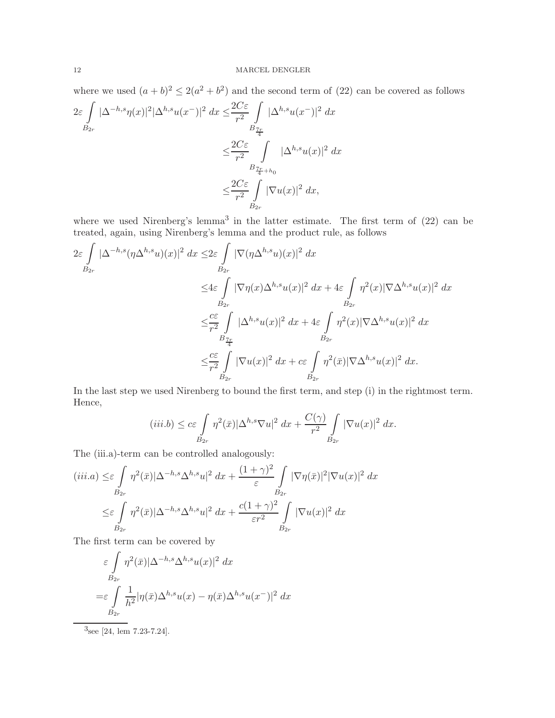where we used  $(a + b)^2 \leq 2(a^2 + b^2)$  and the second term of (22) can be covered as follows

$$
2\varepsilon \int\limits_{B_{2r}} |\Delta^{-h,s}\eta(x)|^2 |\Delta^{h,s}u(x^-)|^2 dx \leq \frac{2C\varepsilon}{r^2} \int\limits_{B_{\frac{7r}{4}}} |\Delta^{h,s}u(x^-)|^2 dx
$$
  

$$
\leq \frac{2C\varepsilon}{r^2} \int\limits_{B_{\frac{7r}{4}+h_0}} |\Delta^{h,s}u(x)|^2 dx
$$
  

$$
\leq \frac{2C\varepsilon}{r^2} \int\limits_{B_{2r}} |\nabla u(x)|^2 dx,
$$

where we used Nirenberg's lemma<sup>3</sup> in the latter estimate. The first term of  $(22)$  can be treated, again, using Nirenberg's lemma and the product rule, as follows

$$
2\varepsilon \int_{B_{2r}} |\Delta^{-h,s}(\eta \Delta^{h,s} u)(x)|^2 dx \leq 2\varepsilon \int_{B_{2r}} |\nabla(\eta \Delta^{h,s} u)(x)|^2 dx
$$
  

$$
\leq 4\varepsilon \int_{B_{2r}} |\nabla \eta(x) \Delta^{h,s} u(x)|^2 dx + 4\varepsilon \int_{B_{2r}} \eta^2(x) |\nabla \Delta^{h,s} u(x)|^2 dx
$$
  

$$
\leq \frac{c\varepsilon}{r^2} \int_{B_{2r}} |\Delta^{h,s} u(x)|^2 dx + 4\varepsilon \int_{B_{2r}} \eta^2(x) |\nabla \Delta^{h,s} u(x)|^2 dx
$$
  

$$
\leq \frac{c\varepsilon}{r^2} \int_{B_{2r}} |\nabla u(x)|^2 dx + c\varepsilon \int_{B_{2r}} \eta^2(\bar{x}) |\nabla \Delta^{h,s} u(x)|^2 dx.
$$

In the last step we used Nirenberg to bound the first term, and step (i) in the rightmost term. Hence,

$$
(iii.b) \le c\varepsilon \int\limits_{B_{2r}} \eta^2(\bar{x}) |\Delta^{h,s} \nabla u|^2 \, dx + \frac{C(\gamma)}{r^2} \int\limits_{B_{2r}} |\nabla u(x)|^2 \, dx.
$$

The (iii.a)-term can be controlled analogously:

$$
(iii.a) \leq \varepsilon \int_{B_{2r}} \eta^2(\bar{x}) |\Delta^{-h,s} \Delta^{h,s} u|^2 dx + \frac{(1+\gamma)^2}{\varepsilon} \int_{B_{2r}} |\nabla \eta(\bar{x})|^2 |\nabla u(x)|^2 dx
$$
  

$$
\leq \varepsilon \int_{B_{2r}} \eta^2(\bar{x}) |\Delta^{-h,s} \Delta^{h,s} u|^2 dx + \frac{c(1+\gamma)^2}{\varepsilon r^2} \int_{B_{2r}} |\nabla u(x)|^2 dx
$$

The first term can be covered by

$$
\varepsilon \int_{B_{2r}} \eta^2(\bar{x}) |\Delta^{-h,s} \Delta^{h,s} u(x)|^2 dx
$$
  
=\varepsilon \int\_{B\_{2r}} \frac{1}{h^2} |\eta(\bar{x}) \Delta^{h,s} u(x) - \eta(\bar{x}) \Delta^{h,s} u(x^-)|^2 dx

 $3$ see [24, lem 7.23-7.24].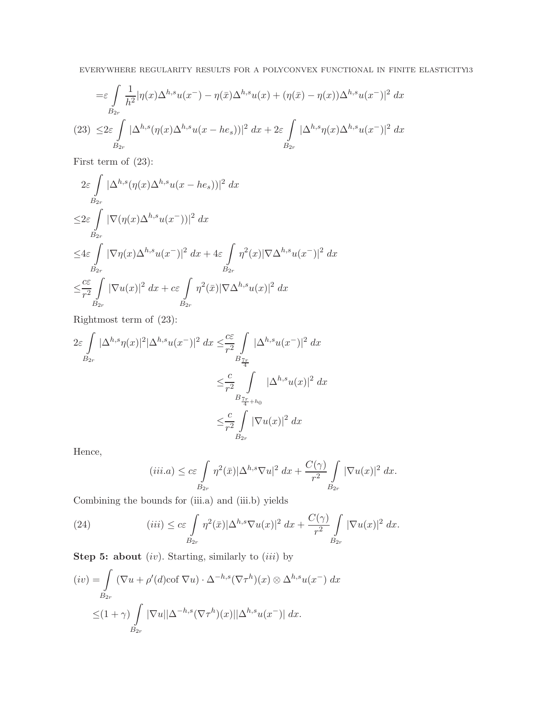$$
= \varepsilon \int\limits_{B_{2r}} \frac{1}{h^2} |\eta(x)\Delta^{h,s} u(x^-) - \eta(\bar{x})\Delta^{h,s} u(x) + (\eta(\bar{x}) - \eta(x))\Delta^{h,s} u(x^-)|^2 dx
$$
  
(23) 
$$
\leq 2\varepsilon \int\limits_{B_{2r}} |\Delta^{h,s} (\eta(x)\Delta^{h,s} u(x - he_s))|^2 dx + 2\varepsilon \int\limits_{B_{2r}} |\Delta^{h,s} \eta(x)\Delta^{h,s} u(x^-)|^2 dx
$$

First term of (23):

$$
2\varepsilon \int_{B_{2r}} |\Delta^{h,s}(\eta(x)\Delta^{h,s}u(x-he_s))|^2 dx
$$
  
\n
$$
\leq 2\varepsilon \int_{B_{2r}} |\nabla(\eta(x)\Delta^{h,s}u(x^-))|^2 dx
$$
  
\n
$$
\leq 4\varepsilon \int_{B_{2r}} |\nabla \eta(x)\Delta^{h,s}u(x^-)|^2 dx + 4\varepsilon \int_{B_{2r}} \eta^2(x)|\nabla\Delta^{h,s}u(x^-)|^2 dx
$$
  
\n
$$
\leq \frac{c\varepsilon}{r^2} \int_{B_{2r}} |\nabla u(x)|^2 dx + c\varepsilon \int_{B_{2r}} \eta^2(\bar{x})|\nabla\Delta^{h,s}u(x)|^2 dx
$$

Rightmost term of (23):

$$
2\varepsilon \int\limits_{B_{2r}} |\Delta^{h,s}\eta(x)|^2 |\Delta^{h,s}u(x^-)|^2 dx \leq \frac{c\varepsilon}{r^2} \int\limits_{B_{\frac{7r}{4}}}\frac{|\Delta^{h,s}u(x^-)|^2 dx}{|\Delta^{h,s}u(x)|^2 dx}
$$
  

$$
\leq \frac{c}{r^2} \int\limits_{B_{\frac{7r}{4}+h_0}}|\Delta^{h,s}u(x)|^2 dx
$$
  

$$
\leq \frac{c}{r^2} \int\limits_{B_{2r}} |\nabla u(x)|^2 dx
$$

Hence,

$$
(iii.a) \leq c\varepsilon \int\limits_{B_{2r}} \eta^2(\bar{x}) |\Delta^{h,s} \nabla u|^2 \, dx + \frac{C(\gamma)}{r^2} \int\limits_{B_{2r}} |\nabla u(x)|^2 \, dx.
$$

Combining the bounds for (iii.a) and (iii.b) yields

(24) 
$$
(iii) \leq c\varepsilon \int\limits_{B_{2r}} \eta^2(\bar{x}) |\Delta^{h,s} \nabla u(x)|^2 dx + \frac{C(\gamma)}{r^2} \int\limits_{B_{2r}} |\nabla u(x)|^2 dx.
$$

**Step 5: about**  $(iv)$ . Starting, similarly to  $(iii)$  by

$$
(iv) = \int_{B_{2r}} (\nabla u + \rho'(d)\text{cof }\nabla u) \cdot \Delta^{-h,s} (\nabla \tau^h)(x) \otimes \Delta^{h,s} u(x^-) dx
$$
  

$$
\leq (1+\gamma) \int_{B_{2r}} |\nabla u||\Delta^{-h,s} (\nabla \tau^h)(x)||\Delta^{h,s} u(x^-)| dx.
$$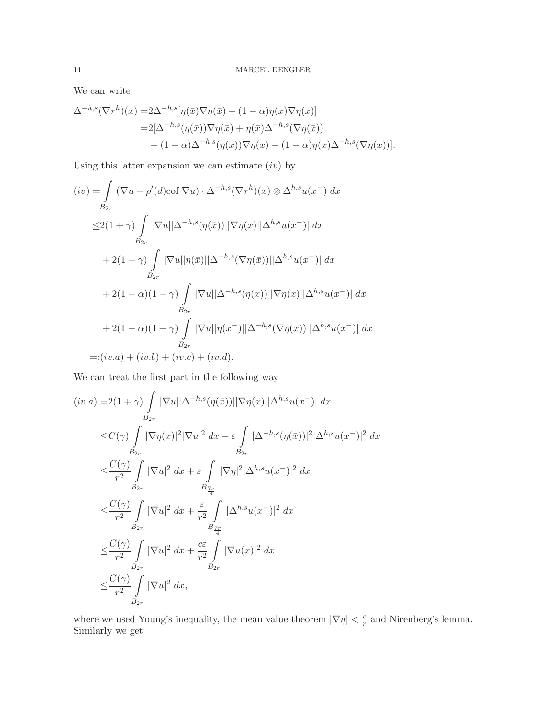We can write

$$
\Delta^{-h,s}(\nabla\tau^h)(x) = 2\Delta^{-h,s}[\eta(\bar{x})\nabla\eta(\bar{x}) - (1-\alpha)\eta(x)\nabla\eta(x)]
$$
  
=2[\Delta^{-h,s}(\eta(\bar{x}))\nabla\eta(\bar{x}) + \eta(\bar{x})\Delta^{-h,s}(\nabla\eta(\bar{x}))  
-(1-\alpha)\Delta^{-h,s}(\eta(x))\nabla\eta(x) - (1-\alpha)\eta(x)\Delta^{-h,s}(\nabla\eta(x))].

Using this latter expansion we can estimate  $(iv)$  by

$$
(iv) = \int_{B_{2r}} (\nabla u + \rho'(d)\text{cof }\nabla u) \cdot \Delta^{-h,s} (\nabla \tau^h)(x) \otimes \Delta^{h,s} u(x^-) dx
$$
  
\n
$$
\leq 2(1+\gamma) \int_{B_{2r}} |\nabla u||\Delta^{-h,s}(\eta(\bar{x}))||\nabla \eta(x)||\Delta^{h,s} u(x^-)| dx
$$
  
\n
$$
+ 2(1+\gamma) \int_{B_{2r}} |\nabla u||\eta(\bar{x})||\Delta^{-h,s} (\nabla \eta(\bar{x}))||\Delta^{h,s} u(x^-)| dx
$$
  
\n
$$
+ 2(1-\alpha)(1+\gamma) \int_{B_{2r}} |\nabla u||\Delta^{-h,s}(\eta(x))||\nabla \eta(x)||\Delta^{h,s} u(x^-)| dx
$$
  
\n
$$
+ 2(1-\alpha)(1+\gamma) \int_{B_{2r}} |\nabla u||\eta(x^-)||\Delta^{-h,s} (\nabla \eta(x))||\Delta^{h,s} u(x^-)| dx
$$
  
\n
$$
=:(iv.a) + (iv.b) + (iv.c) + (iv.d).
$$

We can treat the first part in the following way

$$
(iv.a) = 2(1+\gamma) \int_{B_{2r}} |\nabla u||\Delta^{-h,s}(\eta(\bar{x}))||\nabla \eta(x)||\Delta^{h,s}u(x^-)| dx
$$
  
\n
$$
\leq C(\gamma) \int_{B_{2r}} |\nabla \eta(x)|^2 |\nabla u|^2 dx + \varepsilon \int_{B_{2r}} |\Delta^{-h,s}(\eta(\bar{x}))|^2 |\Delta^{h,s}u(x^-)|^2 dx
$$
  
\n
$$
\leq \frac{C(\gamma)}{r^2} \int_{B_{2r}} |\nabla u|^2 dx + \varepsilon \int_{B_{\frac{7r}{4}}^r} |\nabla \eta|^2 |\Delta^{h,s}u(x^-)|^2 dx
$$
  
\n
$$
\leq \frac{C(\gamma)}{r^2} \int_{B_{2r}} |\nabla u|^2 dx + \frac{\varepsilon}{r^2} \int_{B_{\frac{7r}{4}}^r} |\Delta^{h,s}u(x^-)|^2 dx
$$
  
\n
$$
\leq \frac{C(\gamma)}{r^2} \int_{B_{2r}} |\nabla u|^2 dx + \frac{c\varepsilon}{r^2} \int_{B_{2r}} |\nabla u(x)|^2 dx
$$
  
\n
$$
\leq \frac{C(\gamma)}{r^2} \int_{B_{2r}} |\nabla u|^2 dx,
$$

where we used Young's inequality, the mean value theorem  $|\nabla \eta| < \frac{c}{r}$  and Nirenberg's lemma. Similarly we get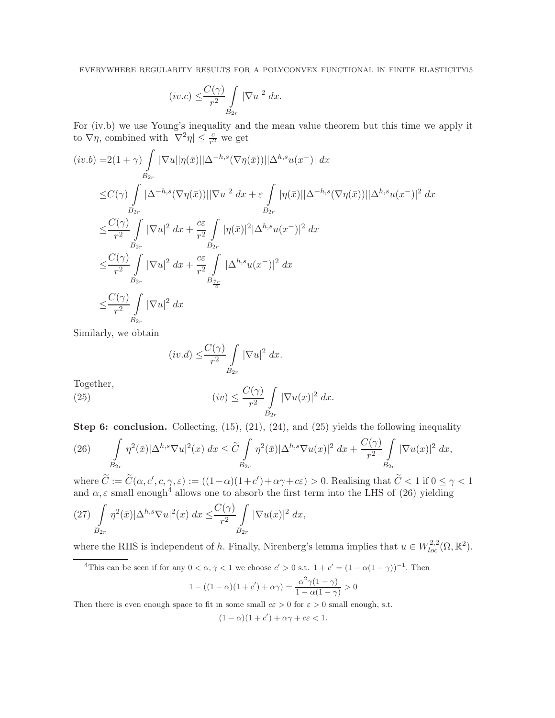$$
(iv.c) \leq \frac{C(\gamma)}{r^2} \int\limits_{B_{2r}} |\nabla u|^2 dx.
$$

For (iv.b) we use Young's inequality and the mean value theorem but this time we apply it to  $\nabla \eta$ , combined with  $|\nabla^2 \eta| \leq \frac{c}{r^2}$  we get

$$
(iv.b) = 2(1+\gamma) \int_{B_{2r}} |\nabla u||\eta(\bar{x})||\Delta^{-h,s}(\nabla \eta(\bar{x}))||\Delta^{h,s}u(x^-)| dx
$$
  
\n
$$
\leq C(\gamma) \int_{B_{2r}} |\Delta^{-h,s}(\nabla \eta(\bar{x}))||\nabla u|^2 dx + \varepsilon \int_{B_{2r}} |\eta(\bar{x})||\Delta^{-h,s}(\nabla \eta(\bar{x}))||\Delta^{h,s}u(x^-)|^2 dx
$$
  
\n
$$
\leq \frac{C(\gamma)}{r^2} \int_{B_{2r}} |\nabla u|^2 dx + \frac{c\varepsilon}{r^2} \int_{B_{2r}} |\eta(\bar{x})|^2 |\Delta^{h,s}u(x^-)|^2 dx
$$
  
\n
$$
\leq \frac{C(\gamma)}{r^2} \int_{B_{2r}} |\nabla u|^2 dx + \frac{c\varepsilon}{r^2} \int_{B_{\frac{r}{4}}} |\Delta^{h,s}u(x^-)|^2 dx
$$
  
\n
$$
\leq \frac{C(\gamma)}{r^2} \int_{B_{2r}} |\nabla u|^2 dx
$$

Similarly, we obtain

$$
(iv.d) \leq \frac{C(\gamma)}{r^2} \int\limits_{B_{2r}} |\nabla u|^2 dx.
$$

Together

(25) 
$$
(iv) \leq \frac{C(\gamma)}{r^2} \int\limits_{B_{2r}} |\nabla u(x)|^2 dx.
$$

Step 6: conclusion. Collecting, (15), (21), (24), and (25) yields the following inequality

$$
(26)\qquad \int\limits_{B_{2r}} \eta^2(\bar{x}) |\Delta^{h,s} \nabla u|^2(x) dx \leq \widetilde{C} \int\limits_{B_{2r}} \eta^2(\bar{x}) |\Delta^{h,s} \nabla u(x)|^2 dx + \frac{C(\gamma)}{r^2} \int\limits_{B_{2r}} |\nabla u(x)|^2 dx,
$$

where  $\widetilde{C} := \widetilde{C}(\alpha, c', c, \gamma, \varepsilon) := ((1 - \alpha)(1 + c') + \alpha \gamma + c \varepsilon) > 0$ . Realising that  $\widetilde{C} < 1$  if  $0 \le \gamma < 1$ and  $\alpha, \varepsilon$  small enough<sup>4</sup> allows one to absorb the first term into the LHS of (26) yielding

$$
(27)\int\limits_{B_{2r}}\eta^2(\bar{x})|\Delta^{h,s}\nabla u|^2(x)\;dx\leq \frac{C(\gamma)}{r^2}\int\limits_{B_{2r}}|\nabla u(x)|^2\;dx,
$$

where the RHS is independent of h. Finally, Nirenberg's lemma implies that  $u \in W_{loc}^{2,2}(\Omega,\mathbb{R}^2)$ .

<sup>4</sup>This can be seen if for any 
$$
0 < \alpha, \gamma < 1
$$
 we choose  $c' > 0$  s.t.  $1 + c' = (1 - \alpha(1 - \gamma))^{-1}$ . Then  $\frac{1}{\alpha^2 \gamma(1 - \gamma)} \geq 0$ 

$$
1 - ((1 - \alpha)(1 + c') + \alpha \gamma) = \frac{\alpha^2 \gamma (1 - \gamma)}{1 - \alpha (1 - \gamma)} > 0
$$

Then there is even enough space to fit in some small  $c\epsilon > 0$  for  $\epsilon > 0$  small enough, s.t.

$$
(1 - \alpha)(1 + c') + \alpha \gamma + c\varepsilon < 1.
$$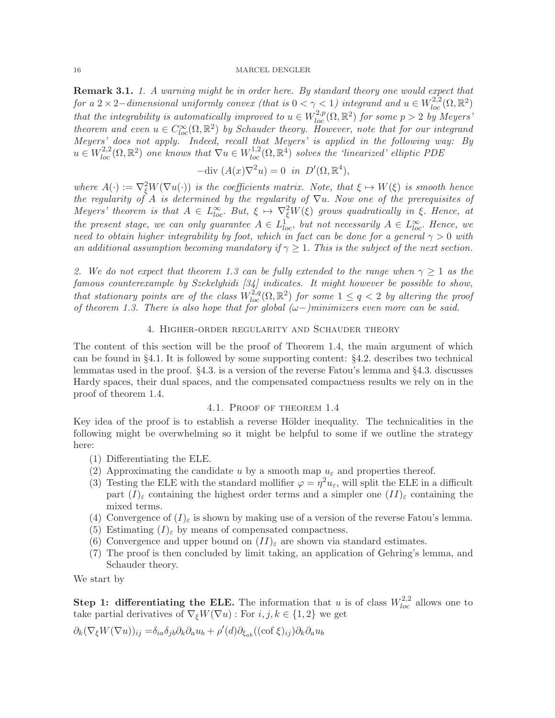**Remark 3.1.** 1. A warning might be in order here. By standard theory one would expect that for a 2 × 2–dimensional uniformly convex (that is  $0 < \gamma < 1$ ) integrand and  $u \in W^{2,2}_{loc}(\Omega,\mathbb{R}^2)$ that the integrability is automatically improved to  $u \in W^{2,p}_{loc}(\Omega,\mathbb{R}^2)$  for some  $p > 2$  by Meyers' theorem and even  $u \in C^{\infty}_{loc}(\Omega, \mathbb{R}^2)$  by Schauder theory. However, note that for our integrand Meyers' does not apply. Indeed, recall that Meyers' is applied in the following way: By  $u \in W_{loc}^{2,2}(\Omega,\mathbb{R}^2)$  one knows that  $\nabla u \in W_{loc}^{1,2}(\Omega,\mathbb{R}^4)$  solves the 'linearized' elliptic PDE

$$
-\text{div}\ (A(x)\nabla^2 u) = 0 \text{ in } D'(\Omega, \mathbb{R}^4),
$$

where  $A(\cdot) := \nabla^2_{\xi} W(\nabla u(\cdot))$  is the coefficients matrix. Note, that  $\xi \mapsto W(\xi)$  is smooth hence the regularity of A is determined by the regularity of  $\nabla u$ . Now one of the prerequisites of Meyers' theorem is that  $A \in L^{\infty}_{loc}$ . But,  $\xi \mapsto \nabla_{\xi}^2 W(\xi)$  grows quadratically in  $\xi$ . Hence, at the present stage, we can only guarantee  $A \in L^1_{loc}$ , but not necessarily  $A \in L^{\infty}_{loc}$ . Hence, we need to obtain higher integrability by foot, which in fact can be done for a general  $\gamma > 0$  with an additional assumption becoming mandatory if  $\gamma \geq 1$ . This is the subject of the next section.

2. We do not expect that theorem 1.3 can be fully extended to the range when  $\gamma \geq 1$  as the famous counterexample by Szekelyhidi [34] indicates. It might however be possible to show, that stationary points are of the class  $W^{2,q}_{loc}(\Omega,\mathbb{R}^2)$  for some  $1 \leq q < 2$  by altering the proof of theorem 1.3. There is also hope that for global  $(\omega-)$ minimizers even more can be said.

### 4. Higher-order regularity and Schauder theory

The content of this section will be the proof of Theorem 1.4, the main argument of which can be found in §4.1. It is followed by some supporting content: §4.2. describes two technical lemmatas used in the proof.  $\S 4.3$  is a version of the reverse Fatou's lemma and  $\S 4.3$ . discusses Hardy spaces, their dual spaces, and the compensated compactness results we rely on in the proof of theorem 1.4.

### 4.1. Proof of theorem 1.4

Key idea of the proof is to establish a reverse Hölder inequality. The technicalities in the following might be overwhelming so it might be helpful to some if we outline the strategy here:

- (1) Differentiating the ELE.
- (2) Approximating the candidate u by a smooth map  $u_{\varepsilon}$  and properties thereof.
- (3) Testing the ELE with the standard mollifier  $\varphi = \eta^2 u_{\varepsilon}$ , will split the ELE in a difficult part  $(I)_{\varepsilon}$  containing the highest order terms and a simpler one  $(II)_{\varepsilon}$  containing the mixed terms.
- (4) Convergence of  $(I)_{\varepsilon}$  is shown by making use of a version of the reverse Fatou's lemma.
- (5) Estimating  $(I)_{\varepsilon}$  by means of compensated compactness.
- (6) Convergence and upper bound on  $(II)_{\varepsilon}$  are shown via standard estimates.
- (7) The proof is then concluded by limit taking, an application of Gehring's lemma, and Schauder theory.

We start by

**Step 1: differentiating the ELE.** The information that u is of class  $W_{loc}^{2,2}$  allows one to take partial derivatives of  $\nabla_{\xi}W(\nabla u)$ : For  $i, j, k \in \{1, 2\}$  we get

$$
\partial_k (\nabla_{\xi} W(\nabla u))_{ij} = \delta_{ia} \delta_{jb} \partial_k \partial_a u_b + \rho'(d) \partial_{\xi_{ab}} ((\operatorname{cof} \xi)_{ij}) \partial_k \partial_a u_b
$$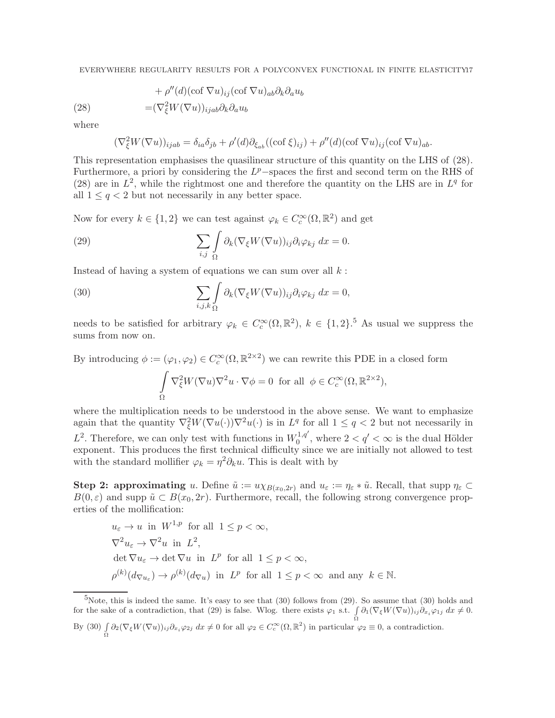EVERYWHERE REGULARITY RESULTS FOR A POLYCONVEX FUNCTIONAL IN FINITE ELASTICITY17

(28) 
$$
+ \rho''(d)(\cot \nabla u)_{ij} (\cot \nabla u)_{ab} \partial_k \partial_a u_b
$$

$$
= (\nabla^2_{\xi} W(\nabla u))_{ijab} \partial_k \partial_a u_b
$$

where

$$
(\nabla_{\xi}^{2}W(\nabla u))_{ijab} = \delta_{ia}\delta_{jb} + \rho'(d)\partial_{\xi_{ab}}((\text{cof }\xi)_{ij}) + \rho''(d)(\text{cof }\nabla u)_{ij}(\text{cof }\nabla u)_{ab}.
$$

This representation emphasises the quasilinear structure of this quantity on the LHS of (28). Furthermore, a priori by considering the  $L^p$ -spaces the first and second term on the RHS of (28) are in  $L^2$ , while the rightmost one and therefore the quantity on the LHS are in  $L^q$  for all  $1 \leq q \leq 2$  but not necessarily in any better space.

Now for every  $k \in \{1, 2\}$  we can test against  $\varphi_k \in C_c^{\infty}(\Omega, \mathbb{R}^2)$  and get

(29) 
$$
\sum_{i,j} \int_{\Omega} \partial_k (\nabla_{\xi} W(\nabla u))_{ij} \partial_i \varphi_{kj} dx = 0.
$$

Instead of having a system of equations we can sum over all  $k$ :

(30) 
$$
\sum_{i,j,k} \int_{\Omega} \partial_k (\nabla_{\xi} W(\nabla u))_{ij} \partial_i \varphi_{kj} dx = 0,
$$

needs to be satisfied for arbitrary  $\varphi_k \in C_c^{\infty}(\Omega, \mathbb{R}^2)$ ,  $k \in \{1, 2\}$ .<sup>5</sup> As usual we suppress the sums from now on.

By introducing  $\phi := (\varphi_1, \varphi_2) \in C_c^{\infty}(\Omega, \mathbb{R}^{2 \times 2})$  we can rewrite this PDE in a closed form ˆ Ω  $\nabla_{\xi}^2 W(\nabla u) \nabla^2 u \cdot \nabla \phi = 0$  for all  $\phi \in C_c^{\infty}(\Omega, \mathbb{R}^{2 \times 2}),$ 

where the multiplication needs to be understood in the above sense. We want to emphasize again that the quantity  $\nabla_{\xi}^2 W(\nabla u(\cdot)) \nabla^2 u(\cdot)$  is in  $L^q$  for all  $1 \leq q < 2$  but not necessarily in  $L^2$ . Therefore, we can only test with functions in  $W_0^{1,q'}$  $0^{1,q'}$ , where  $2 < q' < \infty$  is the dual Hölder exponent. This produces the first technical difficulty since we are initially not allowed to test with the standard mollifier  $\varphi_k = \eta^2 \partial_k u$ . This is dealt with by

Step 2: approximating u. Define  $\tilde{u} := u \chi_{B(x_0, 2r)}$  and  $u_{\varepsilon} := \eta_{\varepsilon} * \tilde{u}$ . Recall, that supp  $\eta_{\varepsilon} \subset$  $B(0, \varepsilon)$  and supp  $\tilde{u} \subset B(x_0, 2r)$ . Furthermore, recall, the following strong convergence properties of the mollification:

 $u_{\varepsilon} \to u$  in  $W^{1,p}$  for all  $1 \leq p \leq \infty$ ,  $\nabla^2 u_\varepsilon \to \nabla^2 u$  in  $L^2$ ,  $\det \nabla u_{\varepsilon} \to \det \nabla u$  in  $L^p$  for all  $1 \leq p < \infty$ ,  $\rho^{(k)}(d_{\nabla u_{\varepsilon}}) \to \rho^{(k)}(d_{\nabla u})$  in  $L^p$  for all  $1 \leq p < \infty$  and any  $k \in \mathbb{N}$ .

 ${}^{5}$ Note, this is indeed the same. It's easy to see that (30) follows from (29). So assume that (30) holds and for the sake of a contradiction, that (29) is false. Wlog. there exists  $\varphi_1$  s.t.  $\int \partial_1(\nabla_{\xi}W(\nabla u))_{ij}\partial_{x_i}\varphi_{1j} dx \neq 0$ . By (30)  $\int_{\Omega} \partial_2(\nabla_{\xi} W(\nabla u))_{ij} \partial_{x_i} \varphi_{2j} dx \neq 0$  for all  $\varphi_2 \in C_c^{\infty}(\Omega, \mathbb{R}^2)$  in particular  $\varphi_2 \equiv 0$ , a contradiction.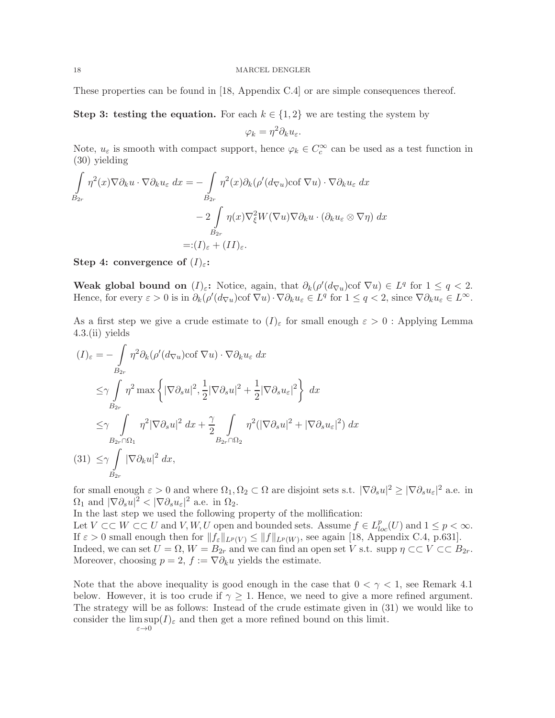### 18 MARCEL DENGLER

These properties can be found in [18, Appendix C.4] or are simple consequences thereof.

Step 3: testing the equation. For each  $k \in \{1,2\}$  we are testing the system by

$$
\varphi_k = \eta^2 \partial_k u_{\varepsilon}.
$$

Note,  $u_{\varepsilon}$  is smooth with compact support, hence  $\varphi_k \in C_c^{\infty}$  can be used as a test function in (30) yielding

$$
\int_{B_{2r}} \eta^2(x) \nabla \partial_k u \cdot \nabla \partial_k u_{\varepsilon} dx = -\int_{B_{2r}} \eta^2(x) \partial_k (\rho'(d_{\nabla u}) \cot \nabla u) \cdot \nabla \partial_k u_{\varepsilon} dx \n- 2 \int_{B_{2r}} \eta(x) \nabla_{\xi}^2 W(\nabla u) \nabla \partial_k u \cdot (\partial_k u_{\varepsilon} \otimes \nabla \eta) dx \n=:(I)_{\varepsilon} + (II)_{\varepsilon}.
$$

Step 4: convergence of  $(I)_{\varepsilon}$ :

Weak global bound on  $(I)_{\varepsilon}$ : Notice, again, that  $\partial_k(\rho'(d_{\nabla u})\text{cof }\nabla u) \in L^q$  for  $1 \leq q < 2$ . Hence, for every  $\varepsilon > 0$  is in  $\partial_k(\rho'(d_{\nabla u})\cot \nabla u) \cdot \nabla \partial_k u_\varepsilon \in L^q$  for  $1 \le q < 2$ , since  $\nabla \partial_k u_\varepsilon \in L^\infty$ .

As a first step we give a crude estimate to  $(I)_{\varepsilon}$  for small enough  $\varepsilon > 0$ : Applying Lemma 4.3.(ii) yields

$$
(I)_{\varepsilon} = -\int_{B_{2r}} \eta^2 \partial_k (\rho'(d_{\nabla u}) \cot \nabla u) \cdot \nabla \partial_k u_{\varepsilon} dx
$$
  
\n
$$
\leq \gamma \int_{B_{2r}} \eta^2 \max \left\{ |\nabla \partial_s u|^2, \frac{1}{2} |\nabla \partial_s u|^2 + \frac{1}{2} |\nabla \partial_s u_{\varepsilon}|^2 \right\} dx
$$
  
\n
$$
\leq \gamma \int_{B_{2r} \cap \Omega_1} \eta^2 |\nabla \partial_s u|^2 dx + \frac{\gamma}{2} \int_{B_{2r} \cap \Omega_2} \eta^2 (|\nabla \partial_s u|^2 + |\nabla \partial_s u_{\varepsilon}|^2) dx
$$
  
\n(31) 
$$
\leq \gamma \int_{B_{2r}} |\nabla \partial_k u|^2 dx,
$$

for small enough  $\varepsilon > 0$  and where  $\Omega_1, \Omega_2 \subset \Omega$  are disjoint sets s.t.  $|\nabla \partial_s u|^2 \geq |\nabla \partial_s u_\varepsilon|^2$  a.e. in  $\Omega_1$  and  $|\nabla \partial_s u|^2 < |\nabla \partial_s u_\varepsilon|^2$  a.e. in  $\Omega_2$ .

In the last step we used the following property of the mollification:

Let  $V \subset\subset W \subset\subset U$  and  $V, W, U$  open and bounded sets. Assume  $f \in L^p_{loc}(U)$  and  $1 \leq p < \infty$ . If  $\varepsilon > 0$  small enough then for  $||f_{\varepsilon}||_{L^p(V)} \le ||f||_{L^p(W)}$ , see again [18, Appendix C.4, p.631]. Indeed, we can set  $U = \Omega$ ,  $W = B_{2r}$  and we can find an open set V s.t. supp  $\eta \subset\subset V \subset\subset B_{2r}$ . Moreover, choosing  $p = 2$ ,  $f := \nabla \partial_k u$  yields the estimate.

Note that the above inequality is good enough in the case that  $0 < \gamma < 1$ , see Remark 4.1 below. However, it is too crude if  $\gamma \geq 1$ . Hence, we need to give a more refined argument. The strategy will be as follows: Instead of the crude estimate given in (31) we would like to consider the  $\limsup(I)_{\varepsilon}$  and then get a more refined bound on this limit.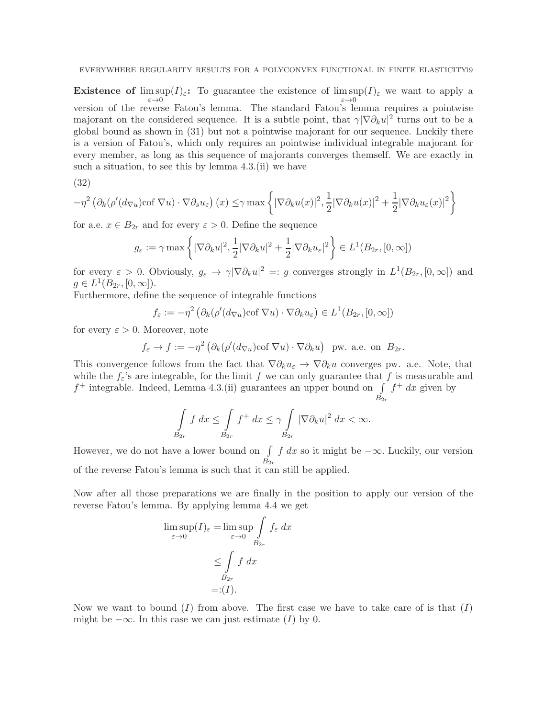**Existence of**  $\limsup(I)_{\varepsilon}$ : To guarantee the existence of  $\limsup(I)_{\varepsilon}$  we want to apply a version of the reverse Fatou's lemma. The standard Fatou's lemma requires a pointwise majorant on the considered sequence. It is a subtle point, that  $\gamma |\nabla \partial_k u|^2$  turns out to be a global bound as shown in (31) but not a pointwise majorant for our sequence. Luckily there is a version of Fatou's, which only requires an pointwise individual integrable majorant for every member, as long as this sequence of majorants converges themself. We are exactly in such a situation, to see this by lemma 4.3.(ii) we have

(32)

$$
-\eta^2 \left(\partial_k(\rho'(d_{\nabla u})\text{cof }\nabla u)\cdot \nabla \partial_s u_{\varepsilon}\right)(x) \leq \gamma \max\left\{|\nabla \partial_k u(x)|^2, \frac{1}{2}|\nabla \partial_k u(x)|^2 + \frac{1}{2}|\nabla \partial_k u_{\varepsilon}(x)|^2\right\}
$$

for a.e.  $x \in B_{2r}$  and for every  $\varepsilon > 0$ . Define the sequence

$$
g_{\varepsilon} := \gamma \max \left\{ |\nabla \partial_k u|^2, \frac{1}{2} |\nabla \partial_k u|^2 + \frac{1}{2} |\nabla \partial_k u_{\varepsilon}|^2 \right\} \in L^1(B_{2r}, [0, \infty])
$$

for every  $\varepsilon > 0$ . Obviously,  $g_{\varepsilon} \to \gamma |\nabla \partial_k u|^2 =: g$  converges strongly in  $L^1(B_{2r}, [0, \infty])$  and  $g \in L^1(B_{2r}, [0, \infty])$ .

Furthermore, define the sequence of integrable functions

$$
f_{\varepsilon} := -\eta^2 \left( \partial_k (\rho'(d_{\nabla u}) \cot \nabla u) \cdot \nabla \partial_k u_{\varepsilon} \right) \in L^1(B_{2r}, [0, \infty])
$$

for every  $\varepsilon > 0$ . Moreover, note

$$
f_{\varepsilon} \to f := -\eta^2 \left( \partial_k (\rho'(d_{\nabla u}) \text{cof } \nabla u) \cdot \nabla \partial_k u \right)
$$
 pw. a.e. on  $B_{2r}$ .

This convergence follows from the fact that  $\nabla \partial_k u_\varepsilon \to \nabla \partial_k u$  converges pw. a.e. Note, that while the  $f_{\varepsilon}$ 's are integrable, for the limit f we can only guarantee that f is measurable and  $f^+$  integrable. Indeed, Lemma 4.3.(ii) guarantees an upper bound on  $\int f^+ dx$  given by  $B_{2r}$ 

$$
\int_{B_{2r}} f\ dx \le \int_{B_{2r}} f^+\ dx \le \gamma \int_{B_{2r}} |\nabla \partial_k u|^2\ dx < \infty.
$$

However, we do not have a lower bound on  $\int f dx$  so it might be  $-\infty$ . Luckily, our version  $B_{2r}$ of the reverse Fatou's lemma is such that it can still be applied.

Now after all those preparations we are finally in the position to apply our version of the reverse Fatou's lemma. By applying lemma 4.4 we get

$$
\limsup_{\varepsilon \to 0} (I)_{\varepsilon} = \limsup_{\varepsilon \to 0} \int_{B_{2r}} f_{\varepsilon} dx
$$
  

$$
\leq \int_{B_{2r}} f dx
$$
  

$$
=:(I).
$$

Now we want to bound  $(I)$  from above. The first case we have to take care of is that  $(I)$ might be  $-\infty$ . In this case we can just estimate (I) by 0.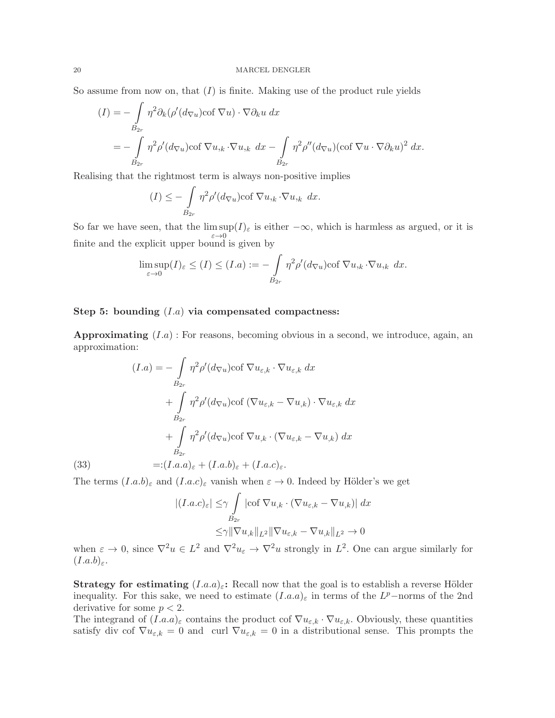So assume from now on, that  $(I)$  is finite. Making use of the product rule yields

$$
(I) = -\int_{B_{2r}} \eta^2 \partial_k (\rho'(d_{\nabla u}) \cot \nabla u) \cdot \nabla \partial_k u \, dx
$$
  
= 
$$
- \int_{B_{2r}} \eta^2 \rho'(d_{\nabla u}) \cot \nabla u_{,k} \cdot \nabla u_{,k} \, dx - \int_{B_{2r}} \eta^2 \rho''(d_{\nabla u}) (\cot \nabla u \cdot \nabla \partial_k u)^2 \, dx.
$$

Realising that the rightmost term is always non-positive implies

$$
(I) \leq -\int\limits_{B_{2r}} \eta^2 \rho'(d_{\nabla u}) \text{cof }\nabla u_{,k} \cdot \nabla u_{,k} dx.
$$

So far we have seen, that the  $\limsup(I)_{\varepsilon}$  is either  $-\infty$ , which is harmless as argued, or it is finite and the explicit upper bound is given by

$$
\limsup_{\varepsilon \to 0} (I)_{\varepsilon} \le (I) \le (I.a) := -\int_{B_{2r}} \eta^2 \rho'(d_{\nabla u}) \text{cof } \nabla u_{,k} \cdot \nabla u_{,k} dx.
$$

## Step 5: bounding  $(I.a)$  via compensated compactness:

**Approximating**  $(I.a)$ : For reasons, becoming obvious in a second, we introduce, again, an approximation:

(1.a) = 
$$
-\int_{B_{2r}} \eta^2 \rho'(d_{\nabla u}) \text{cof } \nabla u_{\varepsilon,k} \cdot \nabla u_{\varepsilon,k} dx
$$
  
+  $\int_{B_{2r}} \eta^2 \rho'(d_{\nabla u}) \text{cof } (\nabla u_{\varepsilon,k} - \nabla u_{,k}) \cdot \nabla u_{\varepsilon,k} dx$   
+  $\int_{B_{2r}} \eta^2 \rho'(d_{\nabla u}) \text{cof } \nabla u_{,k} \cdot (\nabla u_{\varepsilon,k} - \nabla u_{,k}) dx$   

$$
B_{2r}
$$
  
(33) =:(I.a.a)<sub>ε</sub> + (I.a.b)<sub>ε</sub> + (I.a.c)<sub>ε</sub>.

The terms  $(I.a.b)_{\varepsilon}$  and  $(I.a.c)_{\varepsilon}$  vanish when  $\varepsilon \to 0$ . Indeed by Hölder's we get

$$
\begin{aligned} |(I.a.c)_{\varepsilon}| \leq & \gamma \int\limits_{B_{2r}} |\text{cof }\nabla u_{,k} \cdot (\nabla u_{\varepsilon,k} - \nabla u_{,k})| \, dx \\ \leq & \gamma \|\nabla u_{,k}\|_{L^{2}} \|\nabla u_{\varepsilon,k} - \nabla u_{,k}\|_{L^{2}} \to 0 \end{aligned}
$$

when  $\varepsilon \to 0$ , since  $\nabla^2 u \in L^2$  and  $\nabla^2 u_{\varepsilon} \to \nabla^2 u$  strongly in  $L^2$ . One can argue similarly for  $(I.a.b)_{\varepsilon}$ .

**Strategy for estimating**  $(I.a.a)_\varepsilon$ : Recall now that the goal is to establish a reverse Hölder inequality. For this sake, we need to estimate  $(I.a.a)_{\varepsilon}$  in terms of the  $L^p$ -norms of the 2nd derivative for some  $p < 2$ .

The integrand of  $(I.a.a)_\varepsilon$  contains the product cof  $\nabla u_{\varepsilon,k} \cdot \nabla u_{\varepsilon,k}$ . Obviously, these quantities satisfy div cof  $\nabla u_{\varepsilon,k} = 0$  and curl  $\nabla u_{\varepsilon,k} = 0$  in a distributional sense. This prompts the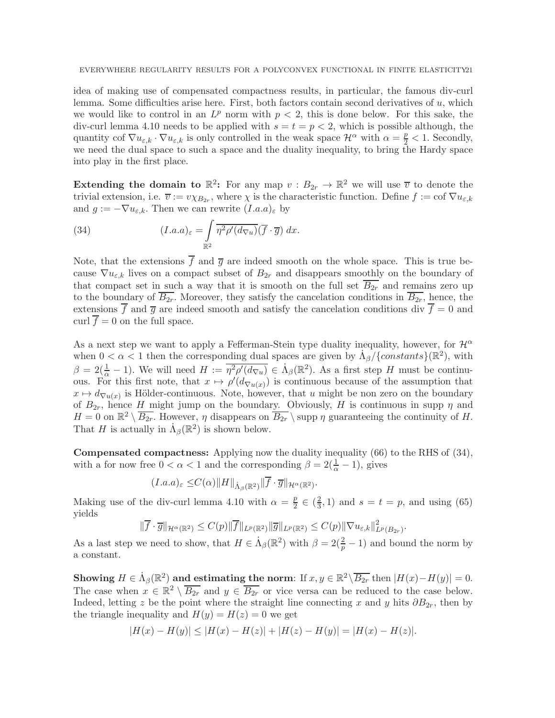### EVERYWHERE REGULARITY RESULTS FOR A POLYCONVEX FUNCTIONAL IN FINITE ELASTICITY21

idea of making use of compensated compactness results, in particular, the famous div-curl lemma. Some difficulties arise here. First, both factors contain second derivatives of  $u$ , which we would like to control in an  $L^p$  norm with  $p < 2$ , this is done below. For this sake, the div-curl lemma 4.10 needs to be applied with  $s = t = p < 2$ , which is possible although, the quantity cof  $\nabla u_{\varepsilon,k} \cdot \nabla u_{\varepsilon,k}$  is only controlled in the weak space  $\mathcal{H}^{\alpha}$  with  $\alpha = \frac{p}{2} < 1$ . Secondly, we need the dual space to such a space and the duality inequality, to bring the Hardy space into play in the first place.

Extending the domain to  $\mathbb{R}^2$ : For any map  $v : B_{2r} \to \mathbb{R}^2$  we will use  $\overline{v}$  to denote the trivial extension, i.e.  $\overline{v} := v \chi_{B_{2r}}$ , where  $\chi$  is the characteristic function. Define  $f := \text{cof } \nabla u_{\varepsilon,k}$ and  $g := -\nabla u_{\varepsilon,k}$ . Then we can rewrite  $(I.a.a)_{\varepsilon}$  by

(34) 
$$
(I.a.a)_{\varepsilon} = \int_{\mathbb{R}^2} \overline{\eta^2 \rho'(d_{\nabla u})}(\overline{f} \cdot \overline{g}) dx.
$$

Note, that the extensions  $\overline{f}$  and  $\overline{g}$  are indeed smooth on the whole space. This is true because  $\nabla u_{\varepsilon,k}$  lives on a compact subset of  $B_{2r}$  and disappears smoothly on the boundary of that compact set in such a way that it is smooth on the full set  $\overline{B_{2r}}$  and remains zero up to the boundary of  $\overline{B_{2r}}$ . Moreover, they satisfy the cancelation conditions in  $\overline{B_{2r}}$ , hence, the extensions  $\overline{f}$  and  $\overline{g}$  are indeed smooth and satisfy the cancelation conditions div  $\overline{f} = 0$  and curl  $\overline{f} = 0$  on the full space.

As a next step we want to apply a Fefferman-Stein type duality inequality, however, for  $\mathcal{H}^{\alpha}$ when  $0 < \alpha < 1$  then the corresponding dual spaces are given by  $\dot{\Lambda}_{\beta}/\{\text{constants}\}(\mathbb{R}^2)$ , with  $\beta = 2(\frac{1}{\alpha} - 1)$ . We will need  $H := \overline{\eta^2 \rho'(d_{\nabla u})} \in \dot{\Lambda}_{\beta}(\mathbb{R}^2)$ . As a first step H must be continuous. For this first note, that  $x \mapsto \rho'(d_{\nabla u(x)})$  is continuous because of the assumption that  $x \mapsto d_{\nabla u(x)}$  is Hölder-continuous. Note, however, that u might be non zero on the boundary of  $B_{2r}$ , hence H might jump on the boundary. Obviously, H is continuous in supp  $\eta$  and  $H = 0$  on  $\mathbb{R}^2 \setminus \overline{B_{2r}}$ . However,  $\eta$  disappears on  $\overline{B_{2r}} \setminus \text{supp } \eta$  guaranteeing the continuity of H. That H is actually in  $\dot{\Lambda}_{\beta}(\mathbb{R}^2)$  is shown below.

Compensated compactness: Applying now the duality inequality (66) to the RHS of (34), with a for now free  $0 < \alpha < 1$  and the corresponding  $\beta = 2(\frac{1}{\alpha} - 1)$ , gives

$$
(I.a.a)_{\varepsilon} \leq C(\alpha) \|H\|_{\dot{\Lambda}_{\beta}(\mathbb{R}^2)} \|\overline{f} \cdot \overline{g}\|_{\mathcal{H}^{\alpha}(\mathbb{R}^2)}.
$$

Making use of the div-curl lemma 4.10 with  $\alpha = \frac{p}{2}$  $\frac{p}{2} \in \left(\frac{2}{3}\right)$  $(\frac{2}{3}, 1)$  and  $s = t = p$ , and using (65) yields

$$
\|\overline{f}\cdot\overline{g}\|_{\mathcal{H}^{\alpha}(\mathbb{R}^2)} \leq C(p)\|\overline{f}\|_{L^p(\mathbb{R}^2)}\|\overline{g}\|_{L^p(\mathbb{R}^2)} \leq C(p)\|\nabla u_{\varepsilon,k}\|_{L^p(B_{2r})}^2.
$$

As a last step we need to show, that  $H \in \dot{A}_{\beta}(\mathbb{R}^2)$  with  $\beta = 2(\frac{2}{p} - 1)$  and bound the norm by a constant.

Showing  $H \in \dot{\Lambda}_{\beta}(\mathbb{R}^2)$  and estimating the norm: If  $x, y \in \mathbb{R}^2 \setminus \overline{B_{2r}}$  then  $|H(x) - H(y)| = 0$ . The case when  $x \in \mathbb{R}^2 \setminus \overline{B_{2r}}$  and  $y \in \overline{B_{2r}}$  or vice versa can be reduced to the case below. Indeed, letting z be the point where the straight line connecting x and y hits  $\partial B_{2r}$ , then by the triangle inequality and  $H(y) = H(z) = 0$  we get

$$
|H(x) - H(y)| \le |H(x) - H(z)| + |H(z) - H(y)| = |H(x) - H(z)|.
$$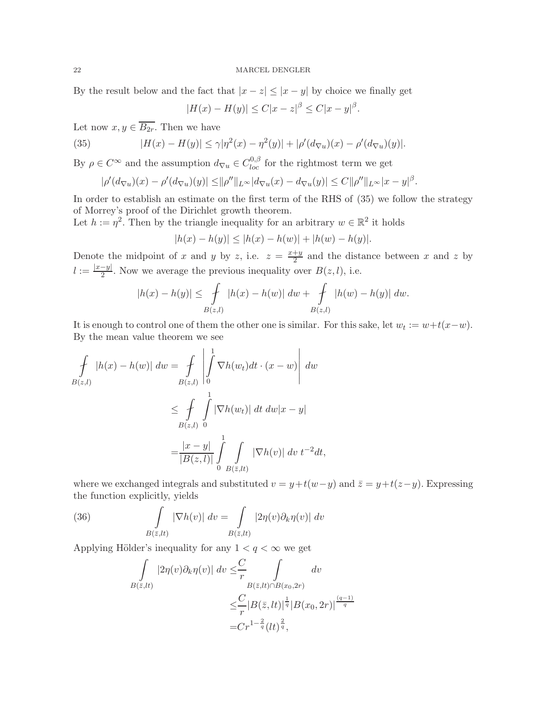By the result below and the fact that  $|x - z| \leq |x - y|$  by choice we finally get

 $|H(x) - H(y)| \le C|x - z|^{\beta} \le C|x - y|^{\beta}.$ 

Let now  $x, y \in \overline{B_{2r}}$ . Then we have

(35) 
$$
|H(x) - H(y)| \le \gamma |\eta^{2}(x) - \eta^{2}(y)| + |\rho'(d_{\nabla u})(x) - \rho'(d_{\nabla u})(y)|.
$$

By  $\rho \in C^{\infty}$  and the assumption  $d_{\nabla u} \in C^{0,\beta}_{loc}$  for the rightmost term we get

$$
|\rho'(d_{\nabla u})(x) - \rho'(d_{\nabla u})(y)| \le ||\rho''||_{L^{\infty}} |d_{\nabla u}(x) - d_{\nabla u}(y)| \le C ||\rho''||_{L^{\infty}} |x - y|^{\beta}.
$$

In order to establish an estimate on the first term of the RHS of (35) we follow the strategy of Morrey's proof of the Dirichlet growth theorem.

Let  $h := \eta^2$ . Then by the triangle inequality for an arbitrary  $w \in \mathbb{R}^2$  it holds

$$
|h(x) - h(y)| \le |h(x) - h(w)| + |h(w) - h(y)|.
$$

Denote the midpoint of x and y by z, i.e.  $z = \frac{x+y}{2}$  $\frac{+y}{2}$  and the distance between x and z by  $l := \frac{|x-y|}{2}$  $\frac{-y_1}{2}$ . Now we average the previous inequality over  $B(z, l)$ , i.e.

$$
|h(x) - h(y)| \le \int_{B(z,l)} |h(x) - h(w)| \, dw + \int_{B(z,l)} |h(w) - h(y)| \, dw.
$$

It is enough to control one of them the other one is similar. For this sake, let  $w_t := w + t(x-w)$ . By the mean value theorem we see

$$
\int_{B(z,l)} |h(x) - h(w)| \, dw = \int_{B(z,l)} \left| \int_0^1 \nabla h(w_t) dt \cdot (x - w) \right| \, dw
$$
\n
$$
\leq \int_{B(z,l)} \int_0^1 |\nabla h(w_t)| \, dt \, dw |x - y|
$$
\n
$$
= \frac{|x - y|}{|B(z,l)|} \int_0^1 \int_{B(\bar{z},lt)} |\nabla h(v)| \, dv \, t^{-2} dt,
$$

where we exchanged integrals and substituted  $v = y+t(w-y)$  and  $\overline{z} = y+t(z-y)$ . Expressing the function explicitly, yields

(36) 
$$
\int_{B(\bar{z},lt)} |\nabla h(v)| dv = \int_{B(\bar{z},lt)} |2\eta(v)\partial_k \eta(v)| dv
$$

Applying Hölder's inequality for any  $1 < q < \infty$  we get

$$
\int_{B(\bar{z},lt)} |2\eta(v)\partial_k \eta(v)| dv \leq \frac{C}{r} \int_{B(\bar{z},lt)\cap B(x_0,2r)} dv
$$
  

$$
\leq \frac{C}{r} |B(\bar{z},lt)|^{\frac{1}{q}} |B(x_0,2r)|^{\frac{(q-1)}{q}}
$$
  

$$
= Cr^{1-\frac{2}{q}}(lt)^{\frac{2}{q}},
$$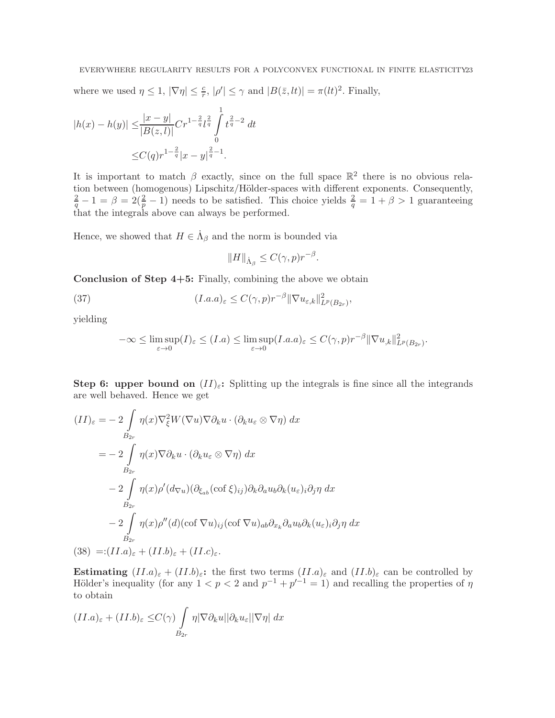where we used  $\eta \leq 1$ ,  $|\nabla \eta| \leq \frac{c}{r}$ ,  $|\rho'| \leq \gamma$  and  $|B(\bar{z},lt)| = \pi (lt)^2$ . Finally,

$$
|h(x) - h(y)| \le \frac{|x - y|}{|B(z, l)|} Cr^{1 - \frac{2}{q}} l^{\frac{2}{q}} \int_{0}^{1} t^{\frac{2}{q} - 2} dt
$$
  

$$
\le C(q)r^{1 - \frac{2}{q}} |x - y|^{\frac{2}{q} - 1}.
$$

It is important to match  $\beta$  exactly, since on the full space  $\mathbb{R}^2$  there is no obvious relation between (homogenous) Lipschitz/Hölder-spaces with different exponents. Consequently,  $\frac{2}{q} - 1 = \beta = 2(\frac{2}{p} - 1)$  needs to be satisfied. This choice yields  $\frac{2}{q} = 1 + \beta > 1$  guaranteeing that the integrals above can always be performed.

Hence, we showed that  $H \in \dot{\Lambda}_{\beta}$  and the norm is bounded via

$$
||H||_{\dot{\Lambda}_{\beta}} \leq C(\gamma, p)r^{-\beta}.
$$

Conclusion of Step 4+5: Finally, combining the above we obtain

(37) 
$$
(I.a.a)_{\varepsilon} \leq C(\gamma, p)r^{-\beta} \|\nabla u_{\varepsilon,k}\|_{L^p(B_{2r})}^2,
$$

yielding

$$
-\infty \leq \limsup_{\varepsilon \to 0} (I)_{\varepsilon} \leq (I.a) \leq \limsup_{\varepsilon \to 0} (I.a.a)_{\varepsilon} \leq C(\gamma, p)r^{-\beta} \|\nabla u_{,k}\|_{L^{p}(B_{2r})}^{2}.
$$

Step 6: upper bound on  $(II)_{\varepsilon}$ : Splitting up the integrals is fine since all the integrands are well behaved. Hence we get

$$
(II)_{\varepsilon} = -2 \int_{B_{2r}} \eta(x) \nabla_{\xi}^{2} W(\nabla u) \nabla \partial_{k} u \cdot (\partial_{k} u_{\varepsilon} \otimes \nabla \eta) dx
$$
  
\n
$$
= -2 \int_{B_{2r}} \eta(x) \nabla \partial_{k} u \cdot (\partial_{k} u_{\varepsilon} \otimes \nabla \eta) dx
$$
  
\n
$$
-2 \int_{B_{2r}} \eta(x) \rho'(d_{\nabla u})(\partial_{\xi_{ab}}(\text{cof }\xi)_{ij}) \partial_{k} \partial_{a} u_{b} \partial_{k} (u_{\varepsilon})_{i} \partial_{j} \eta dx
$$
  
\n
$$
-2 \int_{B_{2r}} \eta(x) \rho''(d)(\text{cof }\nabla u)_{ij} (\text{cof }\nabla u)_{ab} \partial_{x_{k}} \partial_{a} u_{b} \partial_{k} (u_{\varepsilon})_{i} \partial_{j} \eta dx
$$
  
\n(38) =:(II.a)\_{\varepsilon} + (II.b)\_{\varepsilon} + (II.c)\_{\varepsilon}.

Estimating  $(II.a)_{\varepsilon} + (II.b)_{\varepsilon}$ : the first two terms  $(II.a)_{\varepsilon}$  and  $(II.b)_{\varepsilon}$  can be controlled by Hölder's inequality (for any  $1 < p < 2$  and  $p^{-1} + p'^{-1} = 1$ ) and recalling the properties of  $\eta$ to obtain

$$
(II.a)_{\varepsilon} + (II.b)_{\varepsilon} \le C(\gamma) \int\limits_{B_{2r}} \eta |\nabla \partial_k u||\partial_k u_{\varepsilon}||\nabla \eta| dx
$$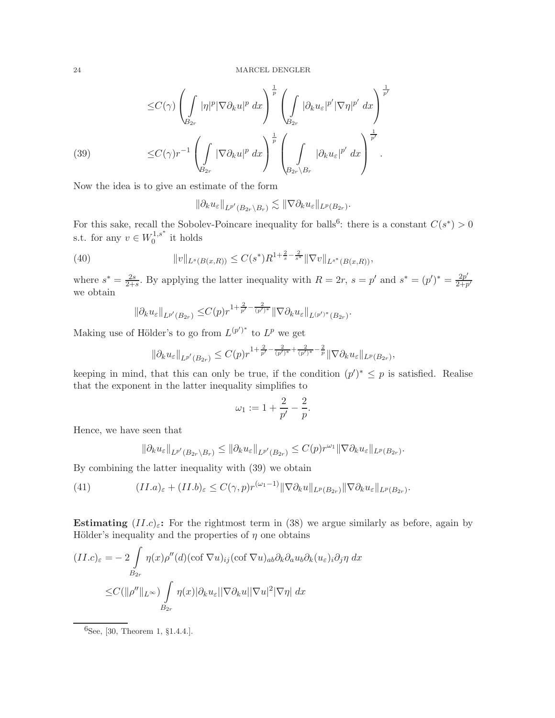$$
\leq C(\gamma) \left( \int_{B_{2r}} |\eta|^p |\nabla \partial_k u|^p dx \right)^{\frac{1}{p}} \left( \int_{B_{2r}} |\partial_k u_{\varepsilon}|^{p'} |\nabla \eta|^{p'} dx \right)^{\frac{1}{p'}}
$$
  
(39)  

$$
\leq C(\gamma) r^{-1} \left( \int_{B_{2r}} |\nabla \partial_k u|^p dx \right)^{\frac{1}{p}} \left( \int_{B_{2r} \setminus B_r} |\partial_k u_{\varepsilon}|^{p'} dx \right)^{\frac{1}{p'}}.
$$

Now the idea is to give an estimate of the form

$$
\|\partial_k u_{\varepsilon}\|_{L^{p'}(B_{2r}\setminus B_r)} \lesssim \|\nabla \partial_k u_{\varepsilon}\|_{L^p(B_{2r})}.
$$

For this sake, recall the Sobolev-Poincare inequality for balls<sup>6</sup>: there is a constant  $C(s^*) > 0$ s.t. for any  $v \in W_0^{1,s^*}$  $i_0^{1,s}$  it holds

(40) 
$$
||v||_{L^{s}(B(x,R))} \leq C(s^{*})R^{1+\frac{2}{s}-\frac{2}{s^{*}}}||\nabla v||_{L^{s^{*}}(B(x,R))},
$$

where  $s^* = \frac{2s}{2}$  $\frac{2s}{2+s}$ . By applying the latter inequality with  $R = 2r$ ,  $s = p'$  and  $s^* = (p')^* = \frac{2p'}{2+p}$  $\overline{2+p'}$ we obtain

$$
\|\partial_k u_{\varepsilon}\|_{L^{p'}(B_{2r})} \leq C(p) r^{1+\frac{2}{p'}-\frac{2}{(p')^*}} \|\nabla \partial_k u_{\varepsilon}\|_{L^{(p')^*}(B_{2r})}.
$$

Making use of Hölder's to go from  $L^{(p')^*}$  to  $L^p$  we get

$$
\|\partial_k u_{\varepsilon}\|_{L^{p'}(B_{2r})} \leq C(p) r^{1+\frac{2}{p'}-\frac{2}{(p')^*}+\frac{2}{(p')^*}-\frac{2}{p}} \|\nabla \partial_k u_{\varepsilon}\|_{L^p(B_{2r})},
$$

keeping in mind, that this can only be true, if the condition  $(p')^* \leq p$  is satisfied. Realise that the exponent in the latter inequality simplifies to

$$
\omega_1 := 1 + \frac{2}{p'} - \frac{2}{p}.
$$

Hence, we have seen that

$$
\|\partial_k u_{\varepsilon}\|_{L^{p'}(B_{2r}\setminus B_r)} \le \|\partial_k u_{\varepsilon}\|_{L^{p'}(B_{2r})} \le C(p) r^{\omega_1} \|\nabla \partial_k u_{\varepsilon}\|_{L^p(B_{2r})}
$$

.

By combining the latter inequality with (39) we obtain

(41) 
$$
(II.a)_{\varepsilon} + (II.b)_{\varepsilon} \leq C(\gamma, p)r^{(\omega_1-1)} \|\nabla \partial_k u\|_{L^p(B_{2r})} \|\nabla \partial_k u_{\varepsilon}\|_{L^p(B_{2r})}.
$$

Estimating  $(ILc)_{\varepsilon}$ : For the rightmost term in (38) we argue similarly as before, again by Hölder's inequality and the properties of  $\eta$  one obtains

$$
(II.c)_{\varepsilon} = -2 \int_{B_{2r}} \eta(x) \rho''(d) (\operatorname{cof} \nabla u)_{ij} (\operatorname{cof} \nabla u)_{ab} \partial_k \partial_a u_b \partial_k (u_{\varepsilon})_i \partial_j \eta \, dx
$$
  

$$
\leq C(||\rho''||_{L^{\infty}}) \int_{B_{2r}} \eta(x) |\partial_k u_{\varepsilon}| |\nabla \partial_k u| |\nabla u|^2 |\nabla \eta| \, dx
$$

 $^{6}$ See, [30, Theorem 1, §1.4.4.].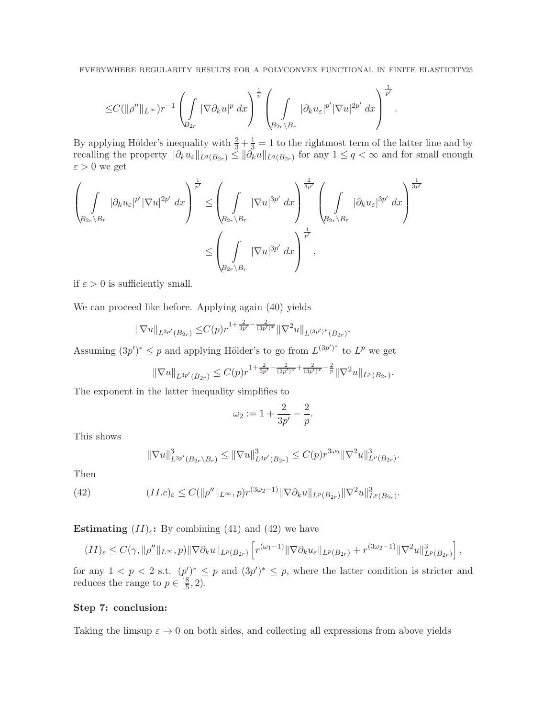$$
\leq C(\|\rho''\|_{L^\infty})r^{-1}\left(\int\limits_{B_{2r}}|\nabla\partial_ku|^p\ dx\right)^{\frac{1}{p}}\left(\int\limits_{B_{2r}\setminus B_r}|\partial_ku_\varepsilon|^{p'}|\nabla u|^{2p'}\ dx\right)^{\frac{1}{p'}}.
$$

By applying Hölder's inequality with  $\frac{2}{3} + \frac{1}{3} = 1$  to the rightmost term of the latter line and by recalling the property  $\|\partial_k u_{\varepsilon}\|_{L^q(B_{2r})} \leq \|\partial_k u\|_{L^q(B_{2r})}$  for any  $1 \leq q < \infty$  and for small enough  $\varepsilon > 0$  we get

$$
\left(\int_{\beta_{2r}\setminus B_r} |\partial_k u_{\varepsilon}|^{p'} |\nabla u|^{2p'} dx\right)^{\frac{1}{p'}} \leq \left(\int_{\beta_{2r}\setminus B_r} |\nabla u|^{3p'} dx\right)^{\frac{2}{3p'}} \left(\int_{\beta_{2r}\setminus B_r} |\partial_k u_{\varepsilon}|^{3p'} dx\right)^{\frac{1}{3p'}} \leq \left(\int_{\beta_{2r}\setminus B_r} |\nabla u|^{3p'} dx\right)^{\frac{1}{p'}},
$$

if  $\varepsilon > 0$  is sufficiently small.

We can proceed like before. Applying again (40) yields

$$
\|\nabla u\|_{L^{3p'}(B_{2r})} \leq C(p)r^{1+\frac{2}{3p'}-\frac{2}{(3p')^*}}\|\nabla^2 u\|_{L^{(3p')^*}(B_{2r})}.
$$

Assuming  $(3p')^* \leq p$  and applying Hölder's to go from  $L^{(3p')^*}$  to  $L^p$  we get

$$
\|\nabla u\|_{L^{3p'}(B_{2r})}\leq C(p)r^{1+\frac{2}{3p'}-\frac{2}{(3p')^*}+\frac{2}{(3p')^*}-\frac{2}{p}}\|\nabla^2 u\|_{L^p(B_{2r})}.
$$

The exponent in the latter inequality simplifies to

$$
\omega_2 := 1 + \frac{2}{3p'} - \frac{2}{p}.
$$

This shows

$$
\|\nabla u\|_{L^{3p'}(B_{2r}\setminus B_r)}^3 \le \|\nabla u\|_{L^{3p'}(B_{2r})}^3 \le C(p)r^{3\omega_2}\|\nabla^2 u\|_{L^p(B_{2r})}^3.
$$

Then

(42) 
$$
(II.c)_{\varepsilon} \leq C(\|\rho''\|_{L^{\infty}}, p) r^{(3\omega_2 - 1)} \|\nabla \partial_k u\|_{L^p(B_{2r})} \|\nabla^2 u\|_{L^p(B_{2r})}^3.
$$

Estimating  $(II)_{\varepsilon}$ : By combining (41) and (42) we have

$$
(II)_{\varepsilon} \leq C(\gamma, \|\rho''\|_{L^{\infty}}, p) \|\nabla \partial_k u\|_{L^p(B_{2r})} \left[ r^{(\omega_1 - 1)} \|\nabla \partial_k u_{\varepsilon}\|_{L^p(B_{2r})} + r^{(3\omega_2 - 1)} \|\nabla^2 u\|_{L^p(B_{2r})}^3 \right],
$$

for any  $1 < p < 2$  s.t.  $(p')^* \leq p$  and  $(3p')^* \leq p$ , where the latter condition is stricter and reduces the range to  $p \in \left[\frac{8}{5}\right]$  $\frac{8}{5}$ , 2).

## Step 7: conclusion:

Taking the limsup  $\varepsilon \to 0$  on both sides, and collecting all expressions from above yields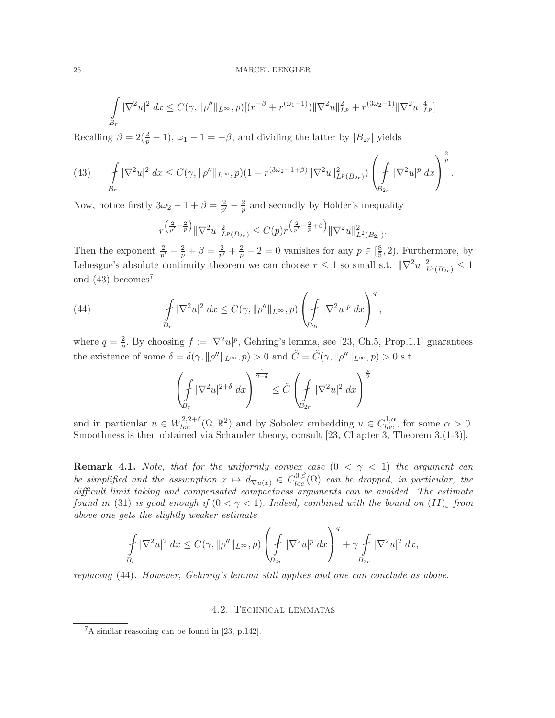### 26 MARCEL DENGLER

$$
\int_{B_r} |\nabla^2 u|^2 dx \le C(\gamma, \|\rho''\|_{L^\infty}, p) [(r^{-\beta} + r^{(\omega_1 - 1)}) \|\nabla^2 u\|_{L^p}^2 + r^{(3\omega_2 - 1)} \|\nabla^2 u\|_{L^p}^4]
$$

Recalling  $\beta = 2(\frac{2}{p} - 1)$ ,  $\omega_1 - 1 = -\beta$ , and dividing the latter by  $|B_{2r}|$  yields

(43) 
$$
\oint_{B_r} |\nabla^2 u|^2 dx \leq C(\gamma, \|\rho''\|_{L^\infty}, p)(1 + r^{(3\omega_2 - 1 + \beta)} \|\nabla^2 u\|_{L^p(B_{2r})}^2) \left(\int_{B_{2r}} |\nabla^2 u|^p dx\right)^{\frac{2}{p}}.
$$

Now, notice firstly  $3\omega_2 - 1 + \beta = \frac{2}{p'}$  $\frac{2}{p'}-\frac{2}{p}$  $\frac{2}{p}$  and secondly by Hölder's inequality

$$
r^{\left(\frac{2}{p'}-\frac{2}{p}\right)}\|\nabla^2 u\|_{L^p(B_{2r})}^2 \le C(p)r^{\left(\frac{2}{p'}-\frac{2}{p}+\beta\right)}\|\nabla^2 u\|_{L^2(B_{2r})}^2.
$$

Then the exponent  $\frac{2}{p'} - \frac{2}{p} + \beta = \frac{2}{p'}$  $\frac{2}{p'} + \frac{2}{p} - 2 = 0$  vanishes for any  $p \in \left[\frac{8}{5}\right]$  $(\frac{8}{5}, 2)$ . Furthermore, by Lebesgue's absolute continuity theorem we can choose  $r \leq 1$  so small s.t.  $\|\nabla^2 u\|_{L^2(B_{2r})}^2 \leq 1$ and  $(43)$  becomes<sup>7</sup>

(44) 
$$
\int\limits_{B_r} |\nabla^2 u|^2 dx \leq C(\gamma, \|\rho''\|_{L^\infty}, p) \left(\int\limits_{B_{2r}} |\nabla^2 u|^p dx\right)^q,
$$

where  $q=\frac{2}{n}$  $\frac{2}{p}$ . By choosing  $f := |\nabla^2 u|^p$ , Gehring's lemma, see [23, Ch.5, Prop.1.1] guarantees the existence of some  $\delta = \delta(\gamma, ||\rho''||_{L^{\infty}}, p) > 0$  and  $\tilde{C} = \tilde{C}(\gamma, ||\rho''||_{L^{\infty}}, p) > 0$  s.t.

$$
\left(\oint\limits_{B_r} |\nabla^2 u|^{2+\delta} \ dx\right)^{\frac{1}{2+\delta}} \le \tilde C \left(\oint\limits_{B_{2r}} |\nabla^2 u|^2 \ dx\right)^{\frac{p}{2}}
$$

and in particular  $u \in W^{2,2+\delta}_{loc}(\Omega,\mathbb{R}^2)$  and by Sobolev embedding  $u \in C^{1,\alpha}_{loc}$ , for some  $\alpha > 0$ . Smoothness is then obtained via Schauder theory, consult [23, Chapter 3, Theorem 3.(1-3)].

**Remark 4.1.** Note, that for the uniformly convex case  $(0 < \gamma < 1)$  the argument can be simplified and the assumption  $x \mapsto d_{\nabla u(x)} \in C^{0,\beta}_{loc}(\Omega)$  can be dropped, in particular, the difficult limit taking and compensated compactness arguments can be avoided. The estimate found in (31) is good enough if  $(0 < \gamma < 1)$ . Indeed, combined with the bound on  $(II)_{\varepsilon}$  from above one gets the slightly weaker estimate

$$
\oint_{B_r} |\nabla^2 u|^2 dx \le C(\gamma, \|\rho''\|_{L^\infty}, p) \left(\oint_{B_{2r}} |\nabla^2 u|^p dx\right)^q + \gamma \oint_{B_{2r}} |\nabla^2 u|^2 dx,
$$

replacing (44). However, Gehring's lemma still applies and one can conclude as above.

### 4.2. Technical lemmatas

 ${}^{7}$ A similar reasoning can be found in [23, p.142].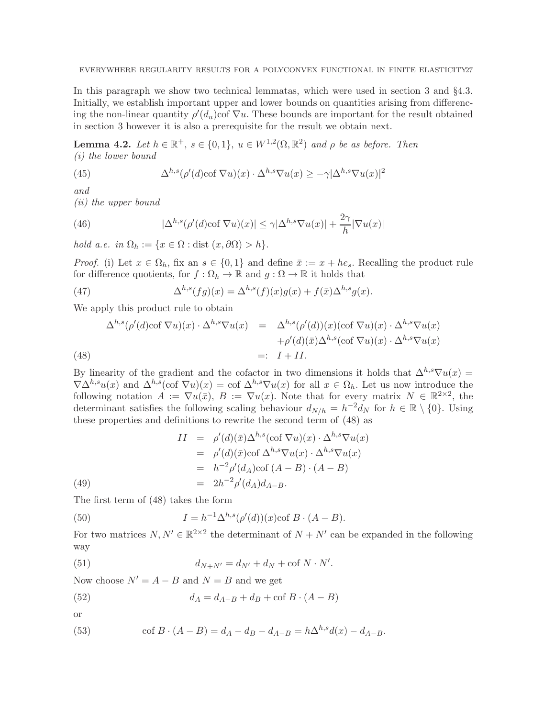In this paragraph we show two technical lemmatas, which were used in section 3 and §4.3. Initially, we establish important upper and lower bounds on quantities arising from differencing the non-linear quantity  $\rho'(d_u)$ cof  $\nabla u$ . These bounds are important for the result obtained in section 3 however it is also a prerequisite for the result we obtain next.

**Lemma 4.2.** Let  $h \in \mathbb{R}^+$ ,  $s \in \{0,1\}$ ,  $u \in W^{1,2}(\Omega,\mathbb{R}^2)$  and  $\rho$  be as before. Then (i) the lower bound

(45) 
$$
\Delta^{h,s}(\rho'(d)\text{cof }\nabla u)(x) \cdot \Delta^{h,s}\nabla u(x) \geq -\gamma |\Delta^{h,s}\nabla u(x)|^2
$$

and

(ii) the upper bound

(46) 
$$
|\Delta^{h,s}(\rho'(d)\cot \nabla u)(x)| \leq \gamma |\Delta^{h,s} \nabla u(x)| + \frac{2\gamma}{h} |\nabla u(x)|
$$

hold a.e. in  $\Omega_h := \{x \in \Omega : \text{dist}(x, \partial \Omega) > h\}.$ 

*Proof.* (i) Let  $x \in \Omega_h$ , fix an  $s \in \{0,1\}$  and define  $\bar{x} := x + he_s$ . Recalling the product rule for difference quotients, for  $f : \Omega_h \to \mathbb{R}$  and  $g : \Omega \to \mathbb{R}$  it holds that

(47) 
$$
\Delta^{h,s}(fg)(x) = \Delta^{h,s}(f)(x)g(x) + f(\bar{x})\Delta^{h,s}g(x).
$$

We apply this product rule to obtain

(48) 
$$
\Delta^{h,s}(\rho'(d)\cot \nabla u)(x) \cdot \Delta^{h,s} \nabla u(x) = \Delta^{h,s}(\rho'(d))(x)(\cot \nabla u)(x) \cdot \Delta^{h,s} \nabla u(x) + \rho'(d)(\bar{x})\Delta^{h,s}(\cot \nabla u)(x) \cdot \Delta^{h,s} \nabla u(x) =: I + II.
$$

By linearity of the gradient and the cofactor in two dimensions it holds that  $\Delta^{h,s}\nabla u(x) =$  $\nabla\Delta^{h,s}u(x)$  and  $\Delta^{h,s}(\text{cof }\nabla u)(x) = \text{cof }\Delta^{h,s}\nabla u(x)$  for all  $x \in \Omega_h$ . Let us now introduce the following notation  $A := \nabla u(\bar{x}), B := \nabla u(x)$ . Note that for every matrix  $N \in \mathbb{R}^{2 \times 2}$ , the determinant satisfies the following scaling behaviour  $d_{N/h} = h^{-2} d_N$  for  $h \in \mathbb{R} \setminus \{0\}$ . Using these properties and definitions to rewrite the second term of (48) as

(49)  
\n
$$
II = \rho'(d)(\bar{x})\Delta^{h,s}(\text{cof }\nabla u)(x) \cdot \Delta^{h,s}\nabla u(x)
$$
\n
$$
= \rho'(d)(\bar{x})\text{cof }\Delta^{h,s}\nabla u(x) \cdot \Delta^{h,s}\nabla u(x)
$$
\n
$$
= h^{-2}\rho'(d_A)\text{cof }(A - B) \cdot (A - B)
$$
\n
$$
= 2h^{-2}\rho'(d_A)d_{A-B}.
$$

The first term of (48) takes the form

(50) 
$$
I = h^{-1} \Delta^{h,s} (\rho'(d))(x) \text{cof } B \cdot (A - B).
$$

For two matrices  $N, N' \in \mathbb{R}^{2 \times 2}$  the determinant of  $N + N'$  can be expanded in the following way

(51) 
$$
d_{N+N'} = d_{N'} + d_N + \text{cof } N \cdot N'.
$$

Now choose  $N' = A - B$  and  $N = B$  and we get

(52) 
$$
d_A = d_{A-B} + d_B + \text{cof } B \cdot (A - B)
$$

or

(53) 
$$
\cot B \cdot (A - B) = d_A - d_B - d_{A-B} = h \Delta^{h,s} d(x) - d_{A-B}.
$$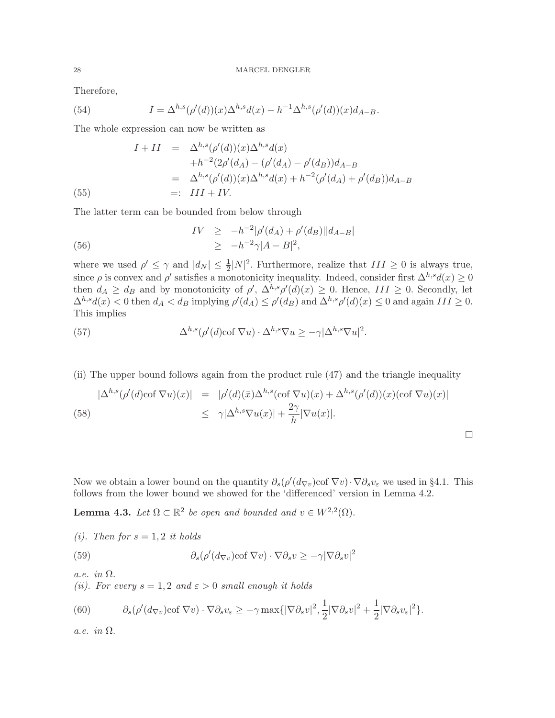Therefore,

(54) 
$$
I = \Delta^{h,s}(\rho'(d))(x)\Delta^{h,s}d(x) - h^{-1}\Delta^{h,s}(\rho'(d))(x)d_{A-B}.
$$

The whole expression can now be written as

(55)  
\n
$$
I + II = \Delta^{h,s} (\rho'(d))(x) \Delta^{h,s} d(x) \n+ h^{-2} (2\rho'(d_A) - (\rho'(d_A) - \rho'(d_B)) d_{A-B} \n= \Delta^{h,s} (\rho'(d))(x) \Delta^{h,s} d(x) + h^{-2} (\rho'(d_A) + \rho'(d_B)) d_{A-B} \n=: III + IV.
$$

The latter term can be bounded from below through

(56) 
$$
IV \ge -h^{-2}|\rho'(d_A) + \rho'(d_B)||d_{A-B}|
$$

$$
\ge -h^{-2}\gamma|A-B|^2,
$$

where we used  $\rho' \leq \gamma$  and  $|d_N| \leq \frac{1}{2}|N|^2$ . Furthermore, realize that  $III \geq 0$  is always true, since  $\rho$  is convex and  $\rho'$  satisfies a monotonicity inequality. Indeed, consider first  $\Delta^{h,s}d(x) \geq 0$ then  $d_A \geq d_B$  and by monotonicity of  $\rho'$ ,  $\Delta^{h,s}\rho'(d)(x) \geq 0$ . Hence,  $III \geq 0$ . Secondly, let  $\Delta^{h,s}d(x) < 0$  then  $d_A < d_B$  implying  $\rho'(d_A) \leq \rho'(d_B)$  and  $\Delta^{h,s}\rho'(d)(x) \leq 0$  and again  $III \geq 0$ . This implies

(57) 
$$
\Delta^{h,s}(\rho'(d)\text{cof }\nabla u) \cdot \Delta^{h,s}\nabla u \ge -\gamma |\Delta^{h,s}\nabla u|^2.
$$

(ii) The upper bound follows again from the product rule (47) and the triangle inequality

(58) 
$$
|\Delta^{h,s}(\rho'(d)\cot \nabla u)(x)| = |\rho'(d)(\bar{x})\Delta^{h,s}(\cot \nabla u)(x) + \Delta^{h,s}(\rho'(d))(x)(\cot \nabla u)(x)|
$$
  

$$
\leq \gamma |\Delta^{h,s} \nabla u(x)| + \frac{2\gamma}{h} |\nabla u(x)|.
$$

Now we obtain a lower bound on the quantity  $\partial_s(\rho'(d_{\nabla v})\cot \nabla v)\cdot \nabla \partial_s v_{\varepsilon}$  we used in §4.1. This follows from the lower bound we showed for the 'differenced' version in Lemma 4.2.

**Lemma 4.3.** Let  $\Omega \subset \mathbb{R}^2$  be open and bounded and  $v \in W^{2,2}(\Omega)$ .

\n- (i). Then for 
$$
s = 1, 2
$$
 it holds
\n- (59) 
$$
\partial_s(\rho'(d_{\nabla v})\cot \nabla v) \cdot \nabla \partial_s v \geq -\gamma |\nabla \partial_s v|^2
$$
\n

a.e. in Ω.

(ii). For every  $s = 1, 2$  and  $\varepsilon > 0$  small enough it holds

(60) 
$$
\partial_s(\rho'(d_{\nabla v})\cot\nabla v)\cdot\nabla\partial_s v_{\varepsilon}\geq -\gamma \max\{|\nabla\partial_s v|^2,\frac{1}{2}|\nabla\partial_s v|^2+\frac{1}{2}|\nabla\partial_s v_{\varepsilon}|^2\}.
$$

a.e. in Ω.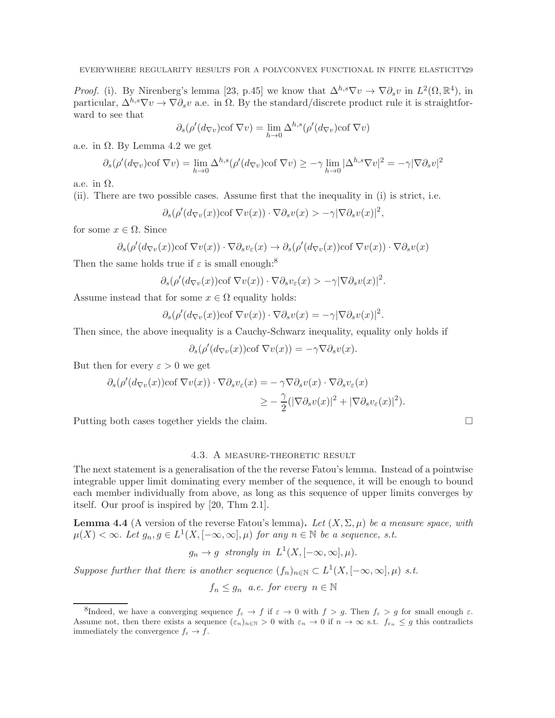*Proof.* (i). By Nirenberg's lemma [23, p.45] we know that  $\Delta^{h,s}\nabla v \to \nabla \partial_s v$  in  $L^2(\Omega,\mathbb{R}^4)$ , in particular,  $\Delta^{h,s}\nabla v \to \nabla \partial_s v$  a.e. in  $\Omega$ . By the standard/discrete product rule it is straightforward to see that

$$
\partial_s(\rho'(d_{\nabla v})\text{cof }\nabla v) = \lim_{h \to 0} \Delta^{h,s}(\rho'(d_{\nabla v})\text{cof }\nabla v)
$$

a.e. in  $Ω$ . By Lemma 4.2 we get

$$
\partial_s(\rho'(d_{\nabla v})\text{cof }\nabla v) = \lim_{h \to 0} \Delta^{h,s}(\rho'(d_{\nabla v})\text{cof }\nabla v) \ge -\gamma \lim_{h \to 0} |\Delta^{h,s}\nabla v|^2 = -\gamma |\nabla \partial_s v|^2
$$

a.e. in  $\Omega$ .

(ii). There are two possible cases. Assume first that the inequality in (i) is strict, i.e.

$$
\partial_s(\rho'(d_{\nabla v}(x))\text{cof }\nabla v(x))\cdot\nabla\partial_s v(x) > -\gamma|\nabla\partial_s v(x)|^2,
$$

for some  $x \in \Omega$ . Since

$$
\partial_s(\rho'(d_{\nabla v}(x))\text{cof }\nabla v(x))\cdot\nabla\partial_s v_{\varepsilon}(x)\to \partial_s(\rho'(d_{\nabla v}(x))\text{cof }\nabla v(x))\cdot\nabla\partial_s v(x)
$$

Then the same holds true if  $\varepsilon$  is small enough:<sup>8</sup>

$$
\partial_s(\rho'(d_{\nabla v}(x))\cot\nabla v(x))\cdot\nabla\partial_s v_{\varepsilon}(x) > -\gamma|\nabla\partial_s v(x)|^2.
$$

Assume instead that for some  $x \in \Omega$  equality holds:

$$
\partial_s(\rho'(d_{\nabla v}(x))\text{cof }\nabla v(x))\cdot\nabla\partial_s v(x)=-\gamma|\nabla\partial_s v(x)|^2.
$$

Then since, the above inequality is a Cauchy-Schwarz inequality, equality only holds if

$$
\partial_s(\rho'(d_{\nabla v}(x))\text{cof }\nabla v(x)) = -\gamma \nabla \partial_s v(x).
$$

But then for every  $\varepsilon > 0$  we get

$$
\partial_s(\rho'(d_{\nabla v}(x))\text{cof }\nabla v(x))\cdot \nabla \partial_s v_{\varepsilon}(x) = -\gamma \nabla \partial_s v(x)\cdot \nabla \partial_s v_{\varepsilon}(x)
$$
  

$$
\geq -\frac{\gamma}{2}(|\nabla \partial_s v(x)|^2 + |\nabla \partial_s v_{\varepsilon}(x)|^2).
$$

Putting both cases together yields the claim.

### 4.3. A measure-theoretic result

The next statement is a generalisation of the the reverse Fatou's lemma. Instead of a pointwise integrable upper limit dominating every member of the sequence, it will be enough to bound each member individually from above, as long as this sequence of upper limits converges by itself. Our proof is inspired by [20, Thm 2.1].

**Lemma 4.4** (A version of the reverse Fatou's lemma). Let  $(X, \Sigma, \mu)$  be a measure space, with  $\mu(X) < \infty$ . Let  $g_n, g \in L^1(X, [-\infty, \infty], \mu)$  for any  $n \in \mathbb{N}$  be a sequence, s.t.

$$
g_n \to g
$$
 strongly in  $L^1(X, [-\infty, \infty], \mu)$ .

Suppose further that there is another sequence  $(f_n)_{n\in\mathbb{N}} \subset L^1(X, [-\infty, \infty], \mu)$  s.t.

 $f_n \leq g_n$  a.e. for every  $n \in \mathbb{N}$ 

<sup>&</sup>lt;sup>8</sup>Indeed, we have a converging sequence  $f_{\varepsilon} \to f$  if  $\varepsilon \to 0$  with  $f > g$ . Then  $f_{\varepsilon} > g$  for small enough  $\varepsilon$ . Assume not, then there exists a sequence  $(\varepsilon_n)_{n\in\mathbb{N}}>0$  with  $\varepsilon_n\to 0$  if  $n\to\infty$  s.t.  $f_{\varepsilon_n}\leq g$  this contradicts immediately the convergence  $f_{\varepsilon} \to f$ .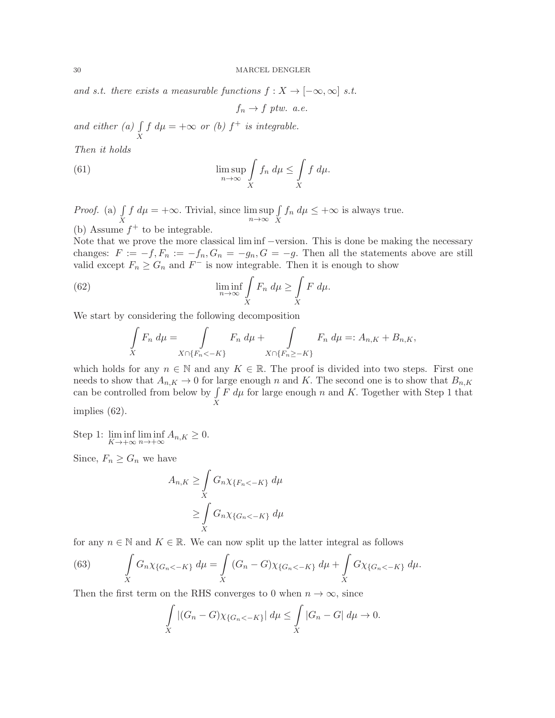and s.t. there exists a measurable functions  $f: X \to [-\infty, \infty]$  s.t.

 $f_n \rightarrow f$  ptw. a.e.

and either  $(a)$ X  $f d\mu = +\infty$  or (b)  $f^+$  is integrable.

Then it holds

(61) 
$$
\limsup_{n \to \infty} \int\limits_X f_n d\mu \leq \int\limits_X f d\mu.
$$

*Proof.* (a)  $\int$  $\boldsymbol{X}$  $f d\mu = +\infty$ . Trivial, since  $\limsup_{n \to \infty}$  $\int$  $\boldsymbol{X}$  $f_n d\mu \leq +\infty$  is always true. (b) Assume  $f^+$  to be integrable.

Note that we prove the more classical lim inf −version. This is done be making the necessary changes:  $F := -f, F_n := -f_n, G_n = -g_n, G = -g$ . Then all the statements above are still valid except  $F_n \geq G_n$  and  $F^-$  is now integrable. Then it is enough to show

(62) 
$$
\liminf_{n \to \infty} \int\limits_X F_n \, d\mu \ge \int\limits_X F \, d\mu.
$$

We start by considering the following decomposition

$$
\int\limits_X F_n \, d\mu = \int\limits_{X \cap \{F_n < -K\}} F_n \, d\mu + \int\limits_{X \cap \{F_n \ge -K\}} F_n \, d\mu =: A_{n,K} + B_{n,K},
$$

which holds for any  $n \in \mathbb{N}$  and any  $K \in \mathbb{R}$ . The proof is divided into two steps. First one needs to show that  $A_{n,K} \to 0$  for large enough n and K. The second one is to show that  $B_{n,K}$ can be controlled from below by  $\int$  $\boldsymbol{X}$  $F d\mu$  for large enough n and K. Together with Step 1 that

implies (62).

Step 1:  $\liminf_{K \to +\infty} \liminf_{n \to +\infty} A_{n,K} \geq 0.$ 

Since,  $F_n \geq G_n$  we have

$$
A_{n,K} \ge \int\limits_X G_n \chi_{\{F_n < -K\}} d\mu
$$
\n
$$
\ge \int\limits_X G_n \chi_{\{G_n < -K\}} d\mu
$$

for any  $n \in \mathbb{N}$  and  $K \in \mathbb{R}$ . We can now split up the latter integral as follows

(63) 
$$
\int\limits_X G_n \chi_{\{G_n < -K\}} d\mu = \int\limits_X (G_n - G) \chi_{\{G_n < -K\}} d\mu + \int\limits_X G \chi_{\{G_n < -K\}} d\mu.
$$

Then the first term on the RHS converges to 0 when  $n \to \infty$ , since

$$
\int\limits_X |(G_n - G)\chi_{\{G_n < -K\}}| \, d\mu \le \int\limits_X |G_n - G| \, d\mu \to 0.
$$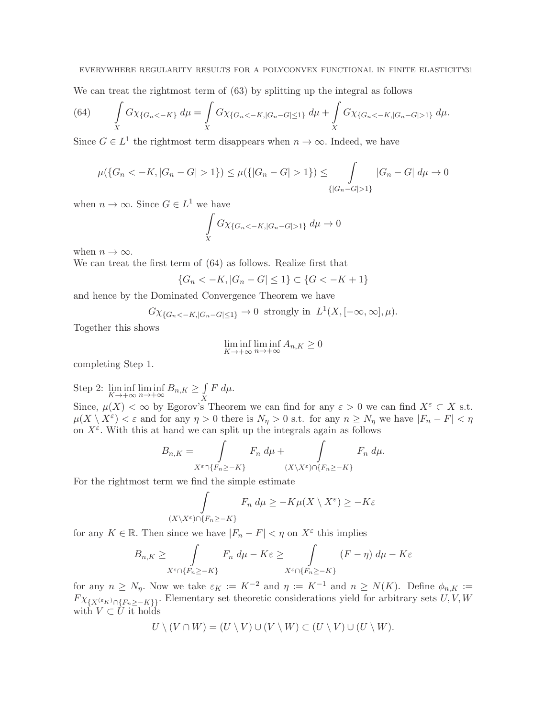We can treat the rightmost term of (63) by splitting up the integral as follows

(64) 
$$
\int\limits_X G\chi_{\{G_n < -K\}} d\mu = \int\limits_X G\chi_{\{G_n < -K, |G_n - G| \le 1\}} d\mu + \int\limits_X G\chi_{\{G_n < -K, |G_n - G| > 1\}} d\mu.
$$

Since  $G \in L^1$  the rightmost term disappears when  $n \to \infty$ . Indeed, we have

$$
\mu(\{G_n < -K, |G_n - G| > 1\}) \le \mu(\{|G_n - G| > 1\}) \le \int_{\{|G_n - G| > 1\}} |G_n - G| \, d\mu \to 0
$$

when  $n \to \infty$ . Since  $G \in L^1$  we have

$$
\int\limits_X G\chi_{\{G_n < -K, |G_n - G| > 1\}} \, d\mu \to 0
$$

when  $n \to \infty$ .

We can treat the first term of (64) as follows. Realize first that

$$
\{G_n < -K, |G_n - G| \le 1\} \subset \{G < -K + 1\}
$$

and hence by the Dominated Convergence Theorem we have

$$
G\chi_{\{G_n < -K, |G_n - G| \le 1\}} \to 0 \text{ strongly in } L^1(X, [-\infty, \infty], \mu).
$$

Together this shows

$$
\liminf_{K \to +\infty} \liminf_{n \to +\infty} A_{n,K} \ge 0
$$

completing Step 1.

Step 2:  $\liminf_{K \to +\infty} \liminf_{n \to +\infty} B_{n,K} \ge \int_{X}$  $\boldsymbol{X}$  $F \, d\mu.$ 

Since,  $\mu(X) < \infty$  by Egorov's Theorem we can find for any  $\varepsilon > 0$  we can find  $X^{\varepsilon} \subset X$  s.t.  $\mu(X \setminus X^{\varepsilon}) < \varepsilon$  and for any  $\eta > 0$  there is  $N_{\eta} > 0$  s.t. for any  $n \ge N_{\eta}$  we have  $|F_n - F| < \eta$ on  $X^{\varepsilon}$ . With this at hand we can split up the integrals again as follows

$$
B_{n,K} = \int_{X^{\varepsilon} \cap \{F_n \ge -K\}} F_n \, d\mu + \int_{(X \setminus X^{\varepsilon}) \cap \{F_n \ge -K\}} F_n \, d\mu.
$$

For the rightmost term we find the simple estimate

$$
\int_{(X \setminus X^{\varepsilon}) \cap \{F_n \ge -K\}} F_n \, d\mu \ge -K\mu(X \setminus X^{\varepsilon}) \ge -K\varepsilon
$$

for any  $K \in \mathbb{R}$ . Then since we have  $|F_n - F| < \eta$  on  $X^{\varepsilon}$  this implies

$$
B_{n,K} \ge \int_{X^{\varepsilon} \cap \{F_n \ge -K\}} F_n \, d\mu - K\varepsilon \ge \int_{X^{\varepsilon} \cap \{F_n \ge -K\}} (F - \eta) \, d\mu - K\varepsilon
$$

for any  $n \ge N_\eta$ . Now we take  $\varepsilon_K := K^{-2}$  and  $\eta := K^{-1}$  and  $n \ge N(K)$ . Define  $\phi_{n,K} :=$  $F \chi_{\{X^{(\varepsilon_K)} \cap \{F_n \geq -K\}\}}$ . Elementary set theoretic considerations yield for arbitrary sets  $U, V, W$ with  $V \subset \dot{U}$  it holds

$$
U \setminus (V \cap W) = (U \setminus V) \cup (V \setminus W) \subset (U \setminus V) \cup (U \setminus W).
$$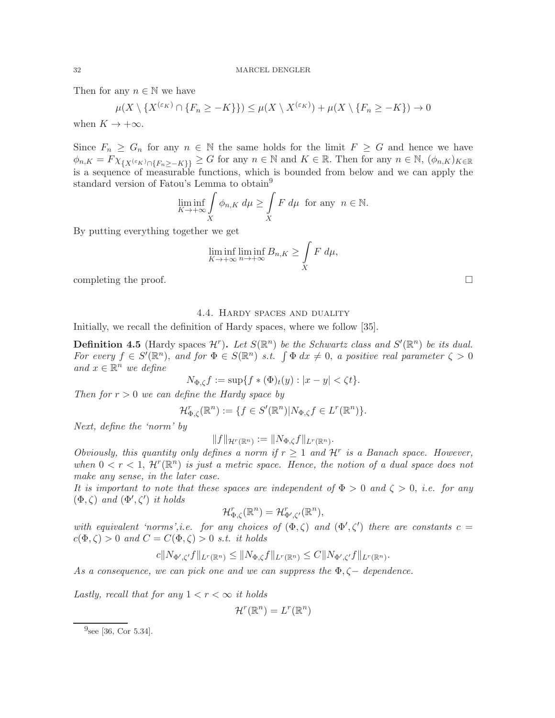Then for any  $n \in \mathbb{N}$  we have

$$
\mu(X \setminus \{X^{(\varepsilon_K)} \cap \{F_n \ge -K\}\}) \le \mu(X \setminus X^{(\varepsilon_K)}) + \mu(X \setminus \{F_n \ge -K\}) \to 0
$$

when  $K \to +\infty$ .

Since  $F_n \geq G_n$  for any  $n \in \mathbb{N}$  the same holds for the limit  $F \geq G$  and hence we have  $\phi_{n,K} = F \chi_{\{X^{(\varepsilon_K)} \cap \{F_n \geq -K\}\}} \geq G$  for any  $n \in \mathbb{N}$  and  $K \in \mathbb{R}$ . Then for any  $n \in \mathbb{N}$ ,  $(\phi_{n,K})_{K \in \mathbb{R}}$ is a sequence of measurable functions, which is bounded from below and we can apply the standard version of Fatou's Lemma to obtain<sup>9</sup>

$$
\liminf_{K \to +\infty} \int\limits_X \phi_{n,K} \, d\mu \ge \int\limits_X F \, d\mu \text{ for any } n \in \mathbb{N}.
$$

By putting everything together we get

$$
\liminf_{K \to +\infty} \liminf_{n \to +\infty} B_{n,K} \ge \int\limits_X F \ d\mu,
$$

completing the proof.  $\Box$ 

## 4.4. Hardy spaces and duality

Initially, we recall the definition of Hardy spaces, where we follow [35].

**Definition 4.5** (Hardy spaces  $\mathcal{H}^r$ ). Let  $S(\mathbb{R}^n)$  be the Schwartz class and  $S'(\mathbb{R}^n)$  be its dual. For every  $f \in S'(\mathbb{R}^n)$ , and for  $\Phi \in S(\mathbb{R}^n)$  s.t.  $\int \Phi dx \neq 0$ , a positive real parameter  $\zeta > 0$ and  $x \in \mathbb{R}^n$  we define

$$
N_{\Phi,\zeta}f := \sup\{f \ast (\Phi)_t(y) : |x - y| < \zeta t\}.
$$

Then for  $r > 0$  we can define the Hardy space by

$$
\mathcal{H}_{\Phi,\zeta}^r(\mathbb{R}^n) := \{ f \in S'(\mathbb{R}^n) | N_{\Phi,\zeta} f \in L^r(\mathbb{R}^n) \}.
$$

Next, define the 'norm' by

$$
||f||_{\mathcal{H}^r(\mathbb{R}^n)} := ||N_{\Phi,\zeta}f||_{L^r(\mathbb{R}^n)}.
$$

Obviously, this quantity only defines a norm if  $r \geq 1$  and  $\mathcal{H}^r$  is a Banach space. However, when  $0 < r < 1$ ,  $\mathcal{H}^r(\mathbb{R}^n)$  is just a metric space. Hence, the notion of a dual space does not make any sense, in the later case.

It is important to note that these spaces are independent of  $\Phi > 0$  and  $\zeta > 0$ , i.e. for any  $(\Phi,\zeta)$  and  $(\Phi',\zeta')$  it holds

$$
\mathcal{H}^r_{\Phi,\zeta}(\mathbb{R}^n) = \mathcal{H}^r_{\Phi',\zeta'}(\mathbb{R}^n),
$$

with equivalent 'norms',i.e. for any choices of  $(\Phi,\zeta)$  and  $(\Phi',\zeta')$  there are constants  $c=$  $c(\Phi, \zeta) > 0$  and  $C = C(\Phi, \zeta) > 0$  s.t. it holds

$$
c||N_{\Phi',\zeta'}f||_{L^r(\mathbb{R}^n)} \leq ||N_{\Phi,\zeta}f||_{L^r(\mathbb{R}^n)} \leq C||N_{\Phi',\zeta'}f||_{L^r(\mathbb{R}^n)}.
$$

As a consequence, we can pick one and we can suppress the  $\Phi$ ,  $\zeta$  – dependence.

Lastly, recall that for any  $1 < r < \infty$  it holds

$$
\mathcal{H}^r(\mathbb{R}^n) = L^r(\mathbb{R}^n)
$$

 $^{9}$ see [36, Cor 5.34].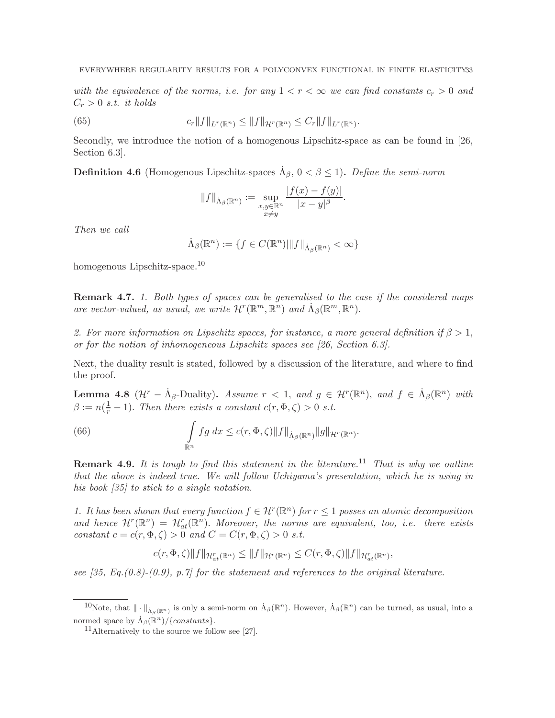with the equivalence of the norms, i.e. for any  $1 < r < \infty$  we can find constants  $c_r > 0$  and  $C_r > 0$  s.t. it holds

(65) 
$$
c_r \|f\|_{L^r(\mathbb{R}^n)} \le \|f\|_{\mathcal{H}^r(\mathbb{R}^n)} \le C_r \|f\|_{L^r(\mathbb{R}^n)}.
$$

Secondly, we introduce the notion of a homogenous Lipschitz-space as can be found in [26, Section 6.3].

**Definition 4.6** (Homogenous Lipschitz-spaces  $\dot{\Lambda}_{\beta}$ ,  $0 < \beta \le 1$ ). Define the semi-norm

$$
||f||_{\dot{\Lambda}_{\beta}(\mathbb{R}^n)} := \sup_{\substack{x,y \in \mathbb{R}^n \\ x \neq y}} \frac{|f(x) - f(y)|}{|x - y|^{\beta}}.
$$

Then we call

$$
\dot{\Lambda}_{\beta}(\mathbb{R}^n) := \{ f \in C(\mathbb{R}^n) \middle| \| f \|_{\dot{\Lambda}_{\beta}(\mathbb{R}^n)} < \infty \}
$$

homogenous Lipschitz-space.<sup>10</sup>

**Remark 4.7.** 1. Both types of spaces can be generalised to the case if the considered maps are vector-valued, as usual, we write  $\mathcal{H}^r(\mathbb{R}^m, \mathbb{R}^n)$  and  $\dot{\Lambda}_{\beta}(\mathbb{R}^m, \mathbb{R}^n)$ .

2. For more information on Lipschitz spaces, for instance, a more general definition if  $\beta > 1$ , or for the notion of inhomogeneous Lipschitz spaces see [26, Section 6.3].

Next, the duality result is stated, followed by a discussion of the literature, and where to find the proof.

**Lemma 4.8**  $(\mathcal{H}^r - \dot{\Lambda}_{\beta}$ -Duality). Assume  $r < 1$ , and  $g \in \mathcal{H}^r(\mathbb{R}^n)$ , and  $f \in \dot{\Lambda}_{\beta}(\mathbb{R}^n)$  with  $\beta := n(\frac{1}{r} - 1)$ . Then there exists a constant  $c(r, \Phi, \zeta) > 0$  s.t.

(66) 
$$
\int_{\mathbb{R}^n} fg\ dx \leq c(r, \Phi, \zeta) \|f\|_{\dot{\Lambda}_{\beta}(\mathbb{R}^n)} \|g\|_{\mathcal{H}^r(\mathbb{R}^n)}.
$$

**Remark 4.9.** It is tough to find this statement in the literature.<sup>11</sup> That is why we outline that the above is indeed true. We will follow Uchiyama's presentation, which he is using in his book [35] to stick to a single notation.

1. It has been shown that every function  $f \in \mathcal{H}^r(\mathbb{R}^n)$  for  $r \leq 1$  posses an atomic decomposition and hence  $\mathcal{H}^r(\mathbb{R}^n) = \mathcal{H}^r_{at}(\mathbb{R}^n)$ . Moreover, the norms are equivalent, too, i.e. there exists constant  $c = c(r, \Phi, \zeta) > 0$  and  $C = C(r, \Phi, \zeta) > 0$  s.t.

$$
c(r, \Phi, \zeta) \|f\|_{\mathcal{H}^r_{at}(\mathbb{R}^n)} \le \|f\|_{\mathcal{H}^r(\mathbb{R}^n)} \le C(r, \Phi, \zeta) \|f\|_{\mathcal{H}^r_{at}(\mathbb{R}^n)},
$$

see  $[35, Eq. (0.8)-(0.9), p.7]$  for the statement and references to the original literature.

<sup>&</sup>lt;sup>10</sup>Note, that  $\|\cdot\|_{\dot{\Lambda}_{\beta}(\mathbb{R}^n)}$  is only a semi-norm on  $\dot{\Lambda}_{\beta}(\mathbb{R}^n)$ . However,  $\dot{\Lambda}_{\beta}(\mathbb{R}^n)$  can be turned, as usual, into a normed space by  $\Lambda_{\beta}(\mathbb{R}^n)/\{\text{constants}\}.$ 

<sup>&</sup>lt;sup>11</sup>Alternatively to the source we follow see [27].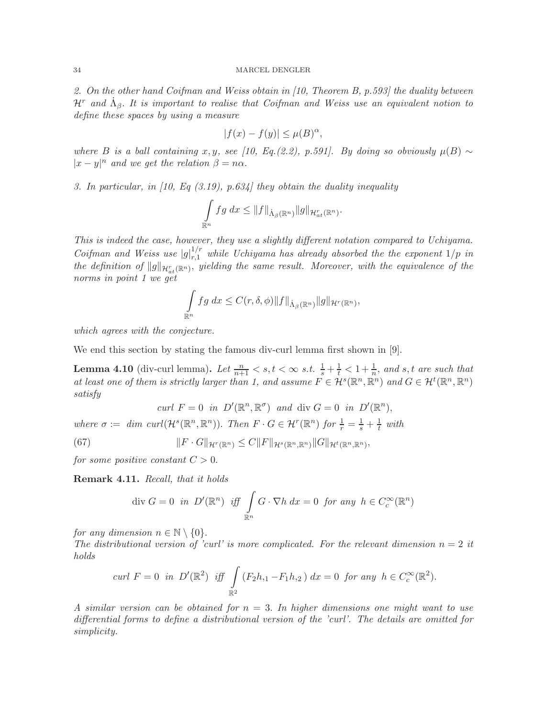### 34 MARCEL DENGLER

2. On the other hand Coifman and Weiss obtain in  $(10,$  Theorem B, p.593 the duality between  $\mathcal{H}^r$  and  $\dot{\Lambda}_{\beta}$ . It is important to realise that Coifman and Weiss use an equivalent notion to define these spaces by using a measure

$$
|f(x) - f(y)| \le \mu(B)^{\alpha},
$$

where B is a ball containing x, y, see [10, Eq.(2.2), p.591]. By doing so obviously  $\mu(B) \sim$  $|x-y|^n$  and we get the relation  $\beta = n\alpha$ .

3. In particular, in  $(10, Eq(3.19), p.634)$  they obtain the duality inequality

$$
\int_{\mathbb{R}^n} fg\ dx \leq \|f\|_{\dot{\Lambda}_{\beta}(\mathbb{R}^n)} \|g\|_{\mathcal{H}^r_{at}(\mathbb{R}^n)}.
$$

This is indeed the case, however, they use a slightly different notation compared to Uchiyama. Coifman and Weiss use  $|g|_{r,1}^{1/r}$  while Uchiyama has already absorbed the the exponent  $1/p$  in the definition of  $\|g\|_{\mathcal{H}^{r}_{at}({\mathbb R}^n)},$  yielding the same result. Moreover, with the equivalence of the norms in point 1 we get

$$
\int_{\mathbb{R}^n} fg\ dx \leq C(r,\delta,\phi) \|f\|_{\dot{\Lambda}_{\beta}(\mathbb{R}^n)} \|g\|_{\mathcal{H}^r(\mathbb{R}^n)},
$$

which agrees with the conjecture.

We end this section by stating the famous div-curl lemma first shown in [9].

**Lemma 4.10** (div-curl lemma). Let  $\frac{n}{n+1} < s, t < \infty$  s.t.  $\frac{1}{s} + \frac{1}{t} < 1 + \frac{1}{n}$ , and s, t are such that at least one of them is strictly larger than 1, and assume  $F \in \mathcal{H}^s(\mathbb{R}^n, \mathbb{R}^n)$  and  $G \in \mathcal{H}^t(\mathbb{R}^n, \mathbb{R}^n)$ satisfy

$$
\operatorname{curl} F = 0 \quad \text{in} \quad D'(\mathbb{R}^n, \mathbb{R}^\sigma) \quad \text{and} \quad \operatorname{div} G = 0 \quad \text{in} \quad D'(\mathbb{R}^n),
$$
\n
$$
\text{where } \sigma := \dim \operatorname{curl}(\mathcal{H}^s(\mathbb{R}^n, \mathbb{R}^n)). \quad \text{Then } F \cdot G \in \mathcal{H}^r(\mathbb{R}^n) \quad \text{for } \frac{1}{r} = \frac{1}{s} + \frac{1}{t} \quad \text{with}
$$
\n
$$
(67) \qquad \qquad ||F \cdot G||_{\mathcal{H}^r(\mathbb{R}^n)} \leq C ||F||_{\mathcal{H}^s(\mathbb{R}^n, \mathbb{R}^n)} ||G||_{\mathcal{H}^t(\mathbb{R}^n, \mathbb{R}^n)},
$$

for some positive constant  $C > 0$ .

Remark 4.11. Recall, that it holds

$$
\text{div } G = 0 \text{ in } D'(\mathbb{R}^n) \text{ iff } \int_{\mathbb{R}^n} G \cdot \nabla h \, dx = 0 \text{ for any } h \in C_c^{\infty}(\mathbb{R}^n)
$$

for any dimension  $n \in \mathbb{N} \setminus \{0\}.$ 

The distributional version of 'curl' is more complicated. For the relevant dimension  $n = 2$  it holds

$$
curl F = 0 \text{ in } D'(\mathbb{R}^2) \text{ iff } \int_{\mathbb{R}^2} (F_2 h_{,1} - F_1 h_{,2}) dx = 0 \text{ for any } h \in C_c^{\infty}(\mathbb{R}^2).
$$

A similar version can be obtained for  $n = 3$ . In higher dimensions one might want to use differential forms to define a distributional version of the 'curl'. The details are omitted for simplicity.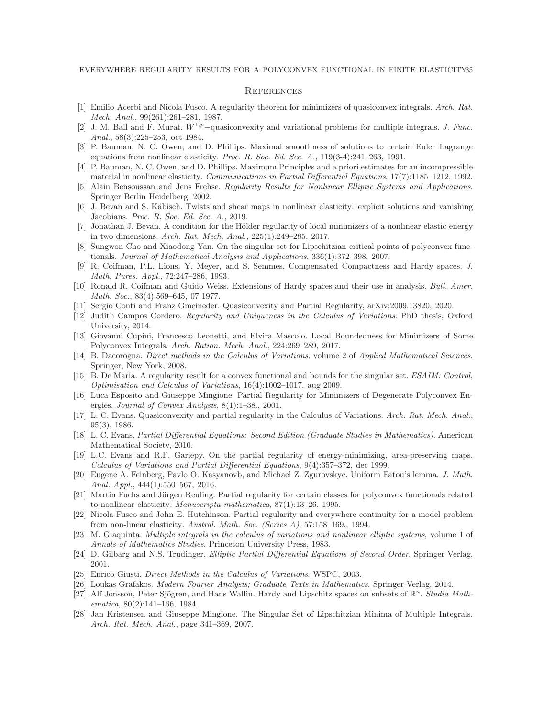### **REFERENCES**

- [1] Emilio Acerbi and Nicola Fusco. A regularity theorem for minimizers of quasiconvex integrals. Arch. Rat. Mech. Anal., 99(261):261–281, 1987.
- [2] J. M. Ball and F. Murat.  $W^{1,p}$ –quasiconvexity and variational problems for multiple integrals. *J. Func.* Anal., 58(3):225–253, oct 1984.
- [3] P. Bauman, N. C. Owen, and D. Phillips. Maximal smoothness of solutions to certain Euler–Lagrange equations from nonlinear elasticity. Proc. R. Soc. Ed. Sec.  $A$ ., 119(3-4):241–263, 1991.
- [4] P. Bauman, N. C. Owen, and D. Phillips. Maximum Principles and a priori estimates for an incompressible material in nonlinear elasticity. Communications in Partial Differential Equations, 17(7):1185–1212, 1992.
- [5] Alain Bensoussan and Jens Frehse. Regularity Results for Nonlinear Elliptic Systems and Applications. Springer Berlin Heidelberg, 2002.
- [6] J. Bevan and S. Käbisch. Twists and shear maps in nonlinear elasticity: explicit solutions and vanishing Jacobians. Proc. R. Soc. Ed. Sec. A., 2019.
- [7] Jonathan J. Bevan. A condition for the Hölder regularity of local minimizers of a nonlinear elastic energy in two dimensions. Arch. Rat. Mech. Anal., 225(1):249–285, 2017.
- [8] Sungwon Cho and Xiaodong Yan. On the singular set for Lipschitzian critical points of polyconvex functionals. Journal of Mathematical Analysis and Applications, 336(1):372–398, 2007.
- [9] R. Coifman, P.L. Lions, Y. Meyer, and S. Semmes. Compensated Compactness and Hardy spaces. J. Math. Pures. Appl., 72:247–286, 1993.
- [10] Ronald R. Coifman and Guido Weiss. Extensions of Hardy spaces and their use in analysis. Bull. Amer. Math. Soc., 83(4):569–645, 07 1977.
- [11] Sergio Conti and Franz Gmeineder. Quasiconvexity and Partial Regularity, arXiv:2009.13820, 2020.
- [12] Judith Campos Cordero. Regularity and Uniqueness in the Calculus of Variations. PhD thesis, Oxford University, 2014.
- [13] Giovanni Cupini, Francesco Leonetti, and Elvira Mascolo. Local Boundedness for Minimizers of Some Polyconvex Integrals. Arch. Ration. Mech. Anal., 224:269–289, 2017.
- [14] B. Dacorogna. Direct methods in the Calculus of Variations, volume 2 of Applied Mathematical Sciences. Springer, New York, 2008.
- [15] B. De Maria. A regularity result for a convex functional and bounds for the singular set. ESAIM: Control, Optimisation and Calculus of Variations, 16(4):1002–1017, aug 2009.
- [16] Luca Esposito and Giuseppe Mingione. Partial Regularity for Minimizers of Degenerate Polyconvex Energies. Journal of Convex Analysis, 8(1):1–38., 2001.
- [17] L. C. Evans. Quasiconvexity and partial regularity in the Calculus of Variations. Arch. Rat. Mech. Anal., 95(3), 1986.
- [18] L. C. Evans. Partial Differential Equations: Second Edition (Graduate Studies in Mathematics). American Mathematical Society, 2010.
- [19] L.C. Evans and R.F. Gariepy. On the partial regularity of energy-minimizing, area-preserving maps. Calculus of Variations and Partial Differential Equations, 9(4):357–372, dec 1999.
- [20] Eugene A. Feinberg, Pavlo O. Kasyanovb, and Michael Z. Zgurovskyc. Uniform Fatou's lemma. J. Math. Anal. Appl., 444(1):550–567, 2016.
- [21] Martin Fuchs and Jürgen Reuling. Partial regularity for certain classes for polyconvex functionals related to nonlinear elasticity. Manuscripta mathematica, 87(1):13–26, 1995.
- [22] Nicola Fusco and John E. Hutchinson. Partial regularity and everywhere continuity for a model problem from non-linear elasticity. Austral. Math. Soc. (Series A), 57:158–169., 1994.
- [23] M. Giaquinta. Multiple integrals in the calculus of variations and nonlinear elliptic systems, volume 1 of Annals of Mathematics Studies. Princeton University Press, 1983.
- [24] D. Gilbarg and N.S. Trudinger. Elliptic Partial Differential Equations of Second Order. Springer Verlag, 2001.
- [25] Enrico Giusti. Direct Methods in the Calculus of Variations. WSPC, 2003.
- [26] Loukas Grafakos. Modern Fourier Analysis; Graduate Texts in Mathematics. Springer Verlag, 2014.
- [27] Alf Jonsson, Peter Sjögren, and Hans Wallin. Hardy and Lipschitz spaces on subsets of  $\mathbb{R}^n$ . Studia Mathematica, 80(2):141–166, 1984.
- [28] Jan Kristensen and Giuseppe Mingione. The Singular Set of Lipschitzian Minima of Multiple Integrals. Arch. Rat. Mech. Anal., page 341–369, 2007.